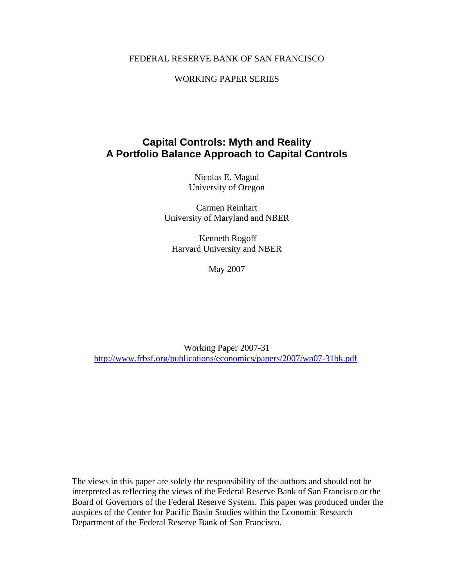### FEDERAL RESERVE BANK OF SAN FRANCISCO

### WORKING PAPER SERIES

# **Capital Controls: Myth and Reality A Portfolio Balance Approach to Capital Controls**

Nicolas E. Magud University of Oregon

Carmen Reinhart University of Maryland and NBER

 Kenneth Rogoff Harvard University and NBER

May 2007

Working Paper 2007-31 http://www.frbsf.org/publications/economics/papers/2007/wp07-31bk.pdf

The views in this paper are solely the responsibility of the authors and should not be interpreted as reflecting the views of the Federal Reserve Bank of San Francisco or the Board of Governors of the Federal Reserve System. This paper was produced under the auspices of the Center for Pacific Basin Studies within the Economic Research Department of the Federal Reserve Bank of San Francisco.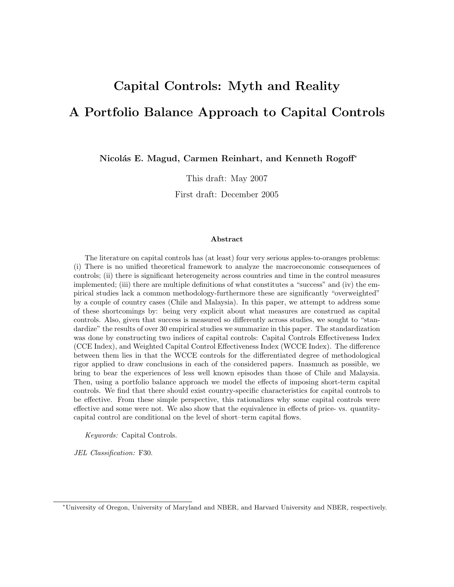# Capital Controls: Myth and Reality A Portfolio Balance Approach to Capital Controls

Nicolás E. Magud, Carmen Reinhart, and Kenneth Rogoff<sup>∗</sup>

This draft: May 2007

First draft: December 2005

#### Abstract

The literature on capital controls has (at least) four very serious apples-to-oranges problems: (i) There is no unified theoretical framework to analyze the macroeconomic consequences of controls; (ii) there is significant heterogeneity across countries and time in the control measures implemented; (iii) there are multiple definitions of what constitutes a "success" and (iv) the empirical studies lack a common methodology-furthermore these are significantly "overweighted" by a couple of country cases (Chile and Malaysia). In this paper, we attempt to address some of these shortcomings by: being very explicit about what measures are construed as capital controls. Also, given that success is measured so differently across studies, we sought to "standardize" the results of over 30 empirical studies we summarize in this paper. The standardization was done by constructing two indices of capital controls: Capital Controls Effectiveness Index (CCE Index), and Weighted Capital Control Effectiveness Index (WCCE Index). The difference between them lies in that the WCCE controls for the differentiated degree of methodological rigor applied to draw conclusions in each of the considered papers. Inasmuch as possible, we bring to bear the experiences of less well known episodes than those of Chile and Malaysia. Then, using a portfolio balance approach we model the effects of imposing short-term capital controls. We find that there should exist country-specific characteristics for capital controls to be effective. From these simple perspective, this rationalizes why some capital controls were effective and some were not. We also show that the equivalence in effects of price- vs. quantitycapital control are conditional on the level of short–term capital flows.

Keywords: Capital Controls.

JEL Classification: F30.

<sup>∗</sup>University of Oregon, University of Maryland and NBER, and Harvard University and NBER, respectively.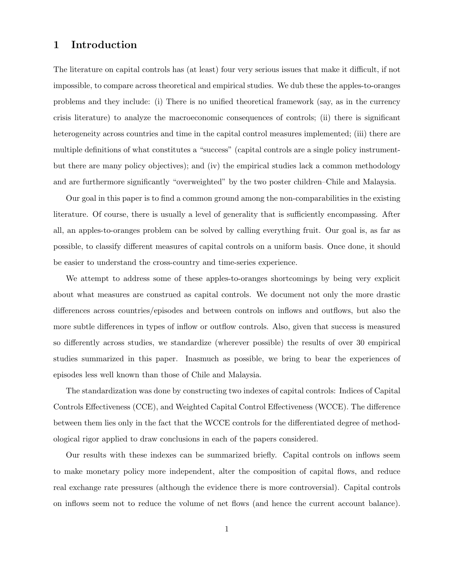# 1 Introduction

The literature on capital controls has (at least) four very serious issues that make it difficult, if not impossible, to compare across theoretical and empirical studies. We dub these the apples-to-oranges problems and they include: (i) There is no unified theoretical framework (say, as in the currency crisis literature) to analyze the macroeconomic consequences of controls; (ii) there is significant heterogeneity across countries and time in the capital control measures implemented; (iii) there are multiple definitions of what constitutes a "success" (capital controls are a single policy instrumentbut there are many policy objectives); and (iv) the empirical studies lack a common methodology and are furthermore significantly "overweighted" by the two poster children–Chile and Malaysia.

Our goal in this paper is to find a common ground among the non-comparabilities in the existing literature. Of course, there is usually a level of generality that is sufficiently encompassing. After all, an apples-to-oranges problem can be solved by calling everything fruit. Our goal is, as far as possible, to classify different measures of capital controls on a uniform basis. Once done, it should be easier to understand the cross-country and time-series experience.

We attempt to address some of these apples-to-oranges shortcomings by being very explicit about what measures are construed as capital controls. We document not only the more drastic differences across countries/episodes and between controls on inflows and outflows, but also the more subtle differences in types of inflow or outflow controls. Also, given that success is measured so differently across studies, we standardize (wherever possible) the results of over 30 empirical studies summarized in this paper. Inasmuch as possible, we bring to bear the experiences of episodes less well known than those of Chile and Malaysia.

The standardization was done by constructing two indexes of capital controls: Indices of Capital Controls Effectiveness (CCE), and Weighted Capital Control Effectiveness (WCCE). The difference between them lies only in the fact that the WCCE controls for the differentiated degree of methodological rigor applied to draw conclusions in each of the papers considered.

Our results with these indexes can be summarized briefly. Capital controls on inflows seem to make monetary policy more independent, alter the composition of capital flows, and reduce real exchange rate pressures (although the evidence there is more controversial). Capital controls on inflows seem not to reduce the volume of net flows (and hence the current account balance).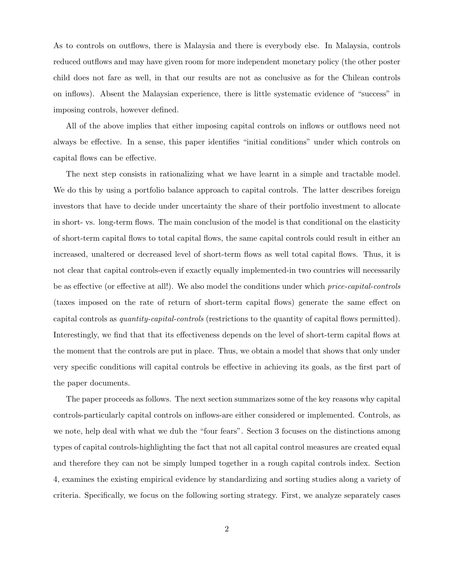As to controls on outflows, there is Malaysia and there is everybody else. In Malaysia, controls reduced outflows and may have given room for more independent monetary policy (the other poster child does not fare as well, in that our results are not as conclusive as for the Chilean controls on inflows). Absent the Malaysian experience, there is little systematic evidence of "success" in imposing controls, however defined.

All of the above implies that either imposing capital controls on inflows or outflows need not always be effective. In a sense, this paper identifies "initial conditions" under which controls on capital flows can be effective.

The next step consists in rationalizing what we have learnt in a simple and tractable model. We do this by using a portfolio balance approach to capital controls. The latter describes foreign investors that have to decide under uncertainty the share of their portfolio investment to allocate in short- vs. long-term flows. The main conclusion of the model is that conditional on the elasticity of short-term capital flows to total capital flows, the same capital controls could result in either an increased, unaltered or decreased level of short-term flows as well total capital flows. Thus, it is not clear that capital controls-even if exactly equally implemented-in two countries will necessarily be as effective (or effective at all!). We also model the conditions under which price-capital-controls (taxes imposed on the rate of return of short-term capital flows) generate the same effect on capital controls as quantity-capital-controls (restrictions to the quantity of capital flows permitted). Interestingly, we find that that its effectiveness depends on the level of short-term capital flows at the moment that the controls are put in place. Thus, we obtain a model that shows that only under very specific conditions will capital controls be effective in achieving its goals, as the first part of the paper documents.

The paper proceeds as follows. The next section summarizes some of the key reasons why capital controls-particularly capital controls on inflows-are either considered or implemented. Controls, as we note, help deal with what we dub the "four fears". Section 3 focuses on the distinctions among types of capital controls-highlighting the fact that not all capital control measures are created equal and therefore they can not be simply lumped together in a rough capital controls index. Section 4, examines the existing empirical evidence by standardizing and sorting studies along a variety of criteria. Specifically, we focus on the following sorting strategy. First, we analyze separately cases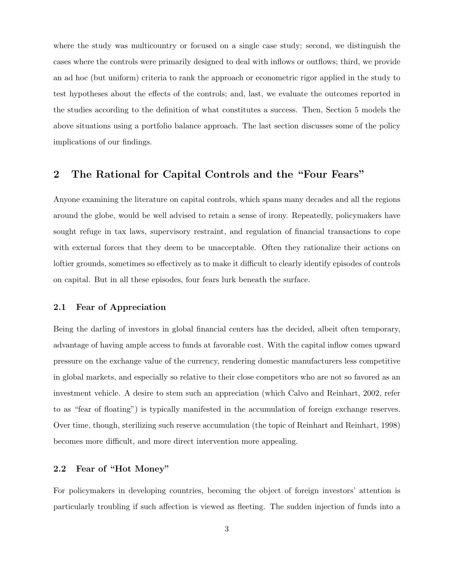where the study was multicountry or focused on a single case study; second, we distinguish the cases where the controls were primarily designed to deal with inflows or outflows; third, we provide an ad hoc (but uniform) criteria to rank the approach or econometric rigor applied in the study to test hypotheses about the effects of the controls; and, last, we evaluate the outcomes reported in the studies according to the definition of what constitutes a success. Then, Section 5 models the above situations using a portfolio balance approach. The last section discusses some of the policy implications of our findings.

# 2 The Rational for Capital Controls and the "Four Fears"

Anyone examining the literature on capital controls, which spans many decades and all the regions around the globe, would be well advised to retain a sense of irony. Repeatedly, policymakers have sought refuge in tax laws, supervisory restraint, and regulation of financial transactions to cope with external forces that they deem to be unacceptable. Often they rationalize their actions on loftier grounds, sometimes so effectively as to make it difficult to clearly identify episodes of controls on capital. But in all these episodes, four fears lurk beneath the surface.

#### 2.1 Fear of Appreciation

Being the darling of investors in global financial centers has the decided, albeit often temporary, advantage of having ample access to funds at favorable cost. With the capital inflow comes upward pressure on the exchange value of the currency, rendering domestic manufacturers less competitive in global markets, and especially so relative to their close competitors who are not so favored as an investment vehicle. A desire to stem such an appreciation (which Calvo and Reinhart, 2002, refer to as "fear of floating") is typically manifested in the accumulation of foreign exchange reserves. Over time, though, sterilizing such reserve accumulation (the topic of Reinhart and Reinhart, 1998) becomes more difficult, and more direct intervention more appealing.

### 2.2 Fear of "Hot Money"

For policymakers in developing countries, becoming the object of foreign investors' attention is particularly troubling if such affection is viewed as fleeting. The sudden injection of funds into a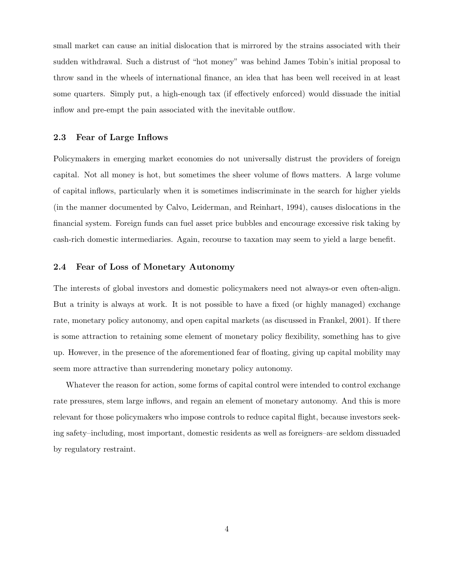small market can cause an initial dislocation that is mirrored by the strains associated with their sudden withdrawal. Such a distrust of "hot money" was behind James Tobin's initial proposal to throw sand in the wheels of international finance, an idea that has been well received in at least some quarters. Simply put, a high-enough tax (if effectively enforced) would dissuade the initial inflow and pre-empt the pain associated with the inevitable outflow.

#### 2.3 Fear of Large Inflows

Policymakers in emerging market economies do not universally distrust the providers of foreign capital. Not all money is hot, but sometimes the sheer volume of flows matters. A large volume of capital inflows, particularly when it is sometimes indiscriminate in the search for higher yields (in the manner documented by Calvo, Leiderman, and Reinhart, 1994), causes dislocations in the financial system. Foreign funds can fuel asset price bubbles and encourage excessive risk taking by cash-rich domestic intermediaries. Again, recourse to taxation may seem to yield a large benefit.

#### 2.4 Fear of Loss of Monetary Autonomy

The interests of global investors and domestic policymakers need not always-or even often-align. But a trinity is always at work. It is not possible to have a fixed (or highly managed) exchange rate, monetary policy autonomy, and open capital markets (as discussed in Frankel, 2001). If there is some attraction to retaining some element of monetary policy flexibility, something has to give up. However, in the presence of the aforementioned fear of floating, giving up capital mobility may seem more attractive than surrendering monetary policy autonomy.

Whatever the reason for action, some forms of capital control were intended to control exchange rate pressures, stem large inflows, and regain an element of monetary autonomy. And this is more relevant for those policymakers who impose controls to reduce capital flight, because investors seeking safety–including, most important, domestic residents as well as foreigners–are seldom dissuaded by regulatory restraint.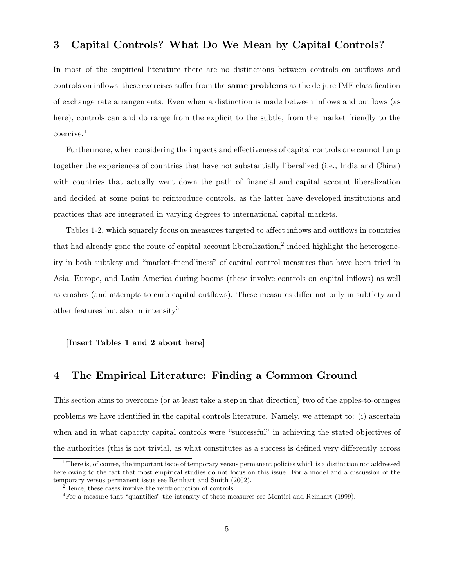# 3 Capital Controls? What Do We Mean by Capital Controls?

In most of the empirical literature there are no distinctions between controls on outflows and controls on inflows–these exercises suffer from the same problems as the de jure IMF classification of exchange rate arrangements. Even when a distinction is made between inflows and outflows (as here), controls can and do range from the explicit to the subtle, from the market friendly to the coercive.<sup>1</sup>

Furthermore, when considering the impacts and effectiveness of capital controls one cannot lump together the experiences of countries that have not substantially liberalized (i.e., India and China) with countries that actually went down the path of financial and capital account liberalization and decided at some point to reintroduce controls, as the latter have developed institutions and practices that are integrated in varying degrees to international capital markets.

Tables 1-2, which squarely focus on measures targeted to affect inflows and outflows in countries that had already gone the route of capital account liberalization,<sup>2</sup> indeed highlight the heterogeneity in both subtlety and "market-friendliness" of capital control measures that have been tried in Asia, Europe, and Latin America during booms (these involve controls on capital inflows) as well as crashes (and attempts to curb capital outflows). These measures differ not only in subtlety and other features but also in intensity<sup>3</sup>

[Insert Tables 1 and 2 about here]

### 4 The Empirical Literature: Finding a Common Ground

This section aims to overcome (or at least take a step in that direction) two of the apples-to-oranges problems we have identified in the capital controls literature. Namely, we attempt to: (i) ascertain when and in what capacity capital controls were "successful" in achieving the stated objectives of the authorities (this is not trivial, as what constitutes as a success is defined very differently across

<sup>1</sup>There is, of course, the important issue of temporary versus permanent policies which is a distinction not addressed here owing to the fact that most empirical studies do not focus on this issue. For a model and a discussion of the temporary versus permanent issue see Reinhart and Smith (2002).

<sup>&</sup>lt;sup>2</sup>Hence, these cases involve the reintroduction of controls.

<sup>&</sup>lt;sup>3</sup>For a measure that "quantifies" the intensity of these measures see Montiel and Reinhart (1999).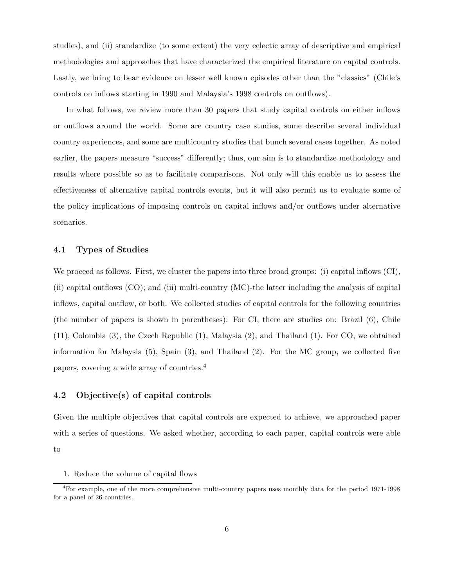studies), and (ii) standardize (to some extent) the very eclectic array of descriptive and empirical methodologies and approaches that have characterized the empirical literature on capital controls. Lastly, we bring to bear evidence on lesser well known episodes other than the "classics" (Chile's controls on inflows starting in 1990 and Malaysia's 1998 controls on outflows).

In what follows, we review more than 30 papers that study capital controls on either inflows or outflows around the world. Some are country case studies, some describe several individual country experiences, and some are multicountry studies that bunch several cases together. As noted earlier, the papers measure "success" differently; thus, our aim is to standardize methodology and results where possible so as to facilitate comparisons. Not only will this enable us to assess the effectiveness of alternative capital controls events, but it will also permit us to evaluate some of the policy implications of imposing controls on capital inflows and/or outflows under alternative scenarios.

#### 4.1 Types of Studies

We proceed as follows. First, we cluster the papers into three broad groups: (i) capital inflows (CI), (ii) capital outflows (CO); and (iii) multi-country (MC)-the latter including the analysis of capital inflows, capital outflow, or both. We collected studies of capital controls for the following countries (the number of papers is shown in parentheses): For CI, there are studies on: Brazil (6), Chile (11), Colombia (3), the Czech Republic (1), Malaysia (2), and Thailand (1). For CO, we obtained information for Malaysia  $(5)$ , Spain  $(3)$ , and Thailand  $(2)$ . For the MC group, we collected five papers, covering a wide array of countries.<sup>4</sup>

#### 4.2 Objective(s) of capital controls

Given the multiple objectives that capital controls are expected to achieve, we approached paper with a series of questions. We asked whether, according to each paper, capital controls were able to

1. Reduce the volume of capital flows

<sup>&</sup>lt;sup>4</sup>For example, one of the more comprehensive multi-country papers uses monthly data for the period 1971-1998 for a panel of 26 countries.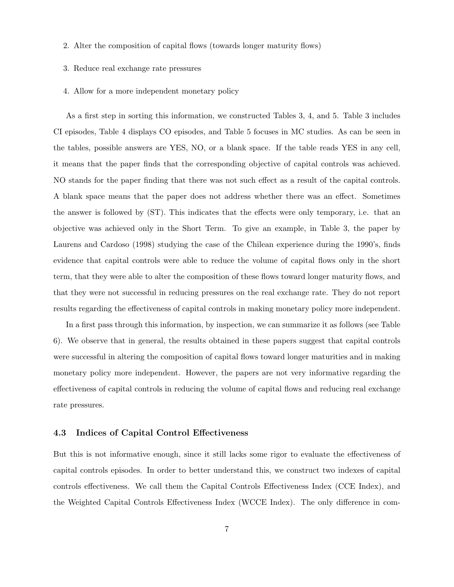- 2. Alter the composition of capital flows (towards longer maturity flows)
- 3. Reduce real exchange rate pressures
- 4. Allow for a more independent monetary policy

As a first step in sorting this information, we constructed Tables 3, 4, and 5. Table 3 includes CI episodes, Table 4 displays CO episodes, and Table 5 focuses in MC studies. As can be seen in the tables, possible answers are YES, NO, or a blank space. If the table reads YES in any cell, it means that the paper finds that the corresponding objective of capital controls was achieved. NO stands for the paper finding that there was not such effect as a result of the capital controls. A blank space means that the paper does not address whether there was an effect. Sometimes the answer is followed by (ST). This indicates that the effects were only temporary, i.e. that an objective was achieved only in the Short Term. To give an example, in Table 3, the paper by Laurens and Cardoso (1998) studying the case of the Chilean experience during the 1990's, finds evidence that capital controls were able to reduce the volume of capital flows only in the short term, that they were able to alter the composition of these flows toward longer maturity flows, and that they were not successful in reducing pressures on the real exchange rate. They do not report results regarding the effectiveness of capital controls in making monetary policy more independent.

In a first pass through this information, by inspection, we can summarize it as follows (see Table 6). We observe that in general, the results obtained in these papers suggest that capital controls were successful in altering the composition of capital flows toward longer maturities and in making monetary policy more independent. However, the papers are not very informative regarding the effectiveness of capital controls in reducing the volume of capital flows and reducing real exchange rate pressures.

#### 4.3 Indices of Capital Control Effectiveness

But this is not informative enough, since it still lacks some rigor to evaluate the effectiveness of capital controls episodes. In order to better understand this, we construct two indexes of capital controls effectiveness. We call them the Capital Controls Effectiveness Index (CCE Index), and the Weighted Capital Controls Effectiveness Index (WCCE Index). The only difference in com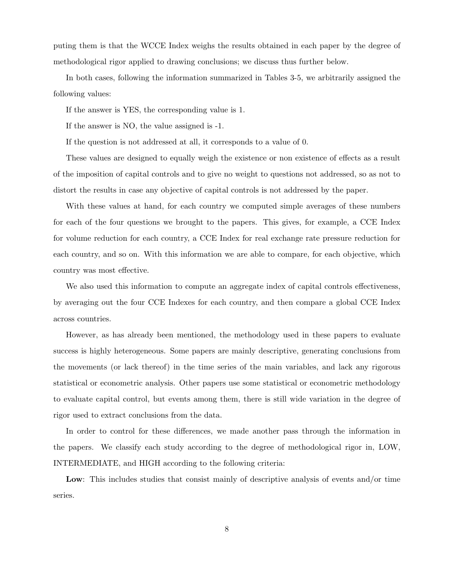puting them is that the WCCE Index weighs the results obtained in each paper by the degree of methodological rigor applied to drawing conclusions; we discuss thus further below.

In both cases, following the information summarized in Tables 3-5, we arbitrarily assigned the following values:

If the answer is YES, the corresponding value is 1.

If the answer is NO, the value assigned is -1.

If the question is not addressed at all, it corresponds to a value of 0.

These values are designed to equally weigh the existence or non existence of effects as a result of the imposition of capital controls and to give no weight to questions not addressed, so as not to distort the results in case any objective of capital controls is not addressed by the paper.

With these values at hand, for each country we computed simple averages of these numbers for each of the four questions we brought to the papers. This gives, for example, a CCE Index for volume reduction for each country, a CCE Index for real exchange rate pressure reduction for each country, and so on. With this information we are able to compare, for each objective, which country was most effective.

We also used this information to compute an aggregate index of capital controls effectiveness, by averaging out the four CCE Indexes for each country, and then compare a global CCE Index across countries.

However, as has already been mentioned, the methodology used in these papers to evaluate success is highly heterogeneous. Some papers are mainly descriptive, generating conclusions from the movements (or lack thereof) in the time series of the main variables, and lack any rigorous statistical or econometric analysis. Other papers use some statistical or econometric methodology to evaluate capital control, but events among them, there is still wide variation in the degree of rigor used to extract conclusions from the data.

In order to control for these differences, we made another pass through the information in the papers. We classify each study according to the degree of methodological rigor in, LOW, INTERMEDIATE, and HIGH according to the following criteria:

Low: This includes studies that consist mainly of descriptive analysis of events and/or time series.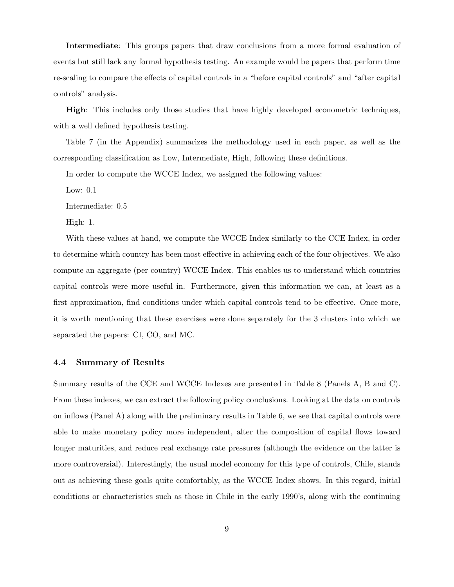Intermediate: This groups papers that draw conclusions from a more formal evaluation of events but still lack any formal hypothesis testing. An example would be papers that perform time re-scaling to compare the effects of capital controls in a "before capital controls" and "after capital controls" analysis.

High: This includes only those studies that have highly developed econometric techniques, with a well defined hypothesis testing.

Table 7 (in the Appendix) summarizes the methodology used in each paper, as well as the corresponding classification as Low, Intermediate, High, following these definitions.

In order to compute the WCCE Index, we assigned the following values:

Low: 0.1

Intermediate: 0.5

High: 1.

With these values at hand, we compute the WCCE Index similarly to the CCE Index, in order to determine which country has been most effective in achieving each of the four objectives. We also compute an aggregate (per country) WCCE Index. This enables us to understand which countries capital controls were more useful in. Furthermore, given this information we can, at least as a first approximation, find conditions under which capital controls tend to be effective. Once more, it is worth mentioning that these exercises were done separately for the 3 clusters into which we separated the papers: CI, CO, and MC.

#### 4.4 Summary of Results

Summary results of the CCE and WCCE Indexes are presented in Table 8 (Panels A, B and C). From these indexes, we can extract the following policy conclusions. Looking at the data on controls on inflows (Panel A) along with the preliminary results in Table 6, we see that capital controls were able to make monetary policy more independent, alter the composition of capital flows toward longer maturities, and reduce real exchange rate pressures (although the evidence on the latter is more controversial). Interestingly, the usual model economy for this type of controls, Chile, stands out as achieving these goals quite comfortably, as the WCCE Index shows. In this regard, initial conditions or characteristics such as those in Chile in the early 1990's, along with the continuing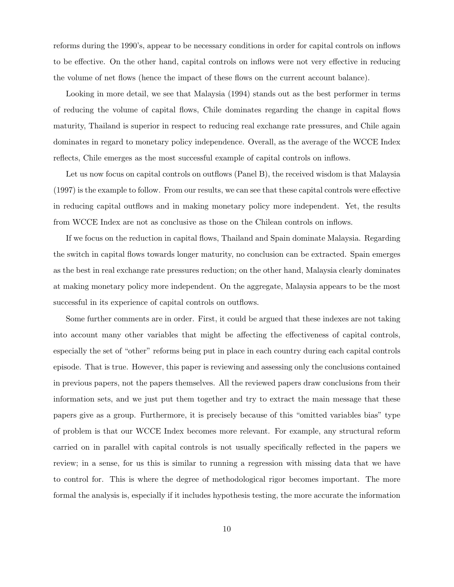reforms during the 1990's, appear to be necessary conditions in order for capital controls on inflows to be effective. On the other hand, capital controls on inflows were not very effective in reducing the volume of net flows (hence the impact of these flows on the current account balance).

Looking in more detail, we see that Malaysia (1994) stands out as the best performer in terms of reducing the volume of capital flows, Chile dominates regarding the change in capital flows maturity, Thailand is superior in respect to reducing real exchange rate pressures, and Chile again dominates in regard to monetary policy independence. Overall, as the average of the WCCE Index reflects, Chile emerges as the most successful example of capital controls on inflows.

Let us now focus on capital controls on outflows (Panel B), the received wisdom is that Malaysia (1997) is the example to follow. From our results, we can see that these capital controls were effective in reducing capital outflows and in making monetary policy more independent. Yet, the results from WCCE Index are not as conclusive as those on the Chilean controls on inflows.

If we focus on the reduction in capital flows, Thailand and Spain dominate Malaysia. Regarding the switch in capital flows towards longer maturity, no conclusion can be extracted. Spain emerges as the best in real exchange rate pressures reduction; on the other hand, Malaysia clearly dominates at making monetary policy more independent. On the aggregate, Malaysia appears to be the most successful in its experience of capital controls on outflows.

Some further comments are in order. First, it could be argued that these indexes are not taking into account many other variables that might be affecting the effectiveness of capital controls, especially the set of "other" reforms being put in place in each country during each capital controls episode. That is true. However, this paper is reviewing and assessing only the conclusions contained in previous papers, not the papers themselves. All the reviewed papers draw conclusions from their information sets, and we just put them together and try to extract the main message that these papers give as a group. Furthermore, it is precisely because of this "omitted variables bias" type of problem is that our WCCE Index becomes more relevant. For example, any structural reform carried on in parallel with capital controls is not usually specifically reflected in the papers we review; in a sense, for us this is similar to running a regression with missing data that we have to control for. This is where the degree of methodological rigor becomes important. The more formal the analysis is, especially if it includes hypothesis testing, the more accurate the information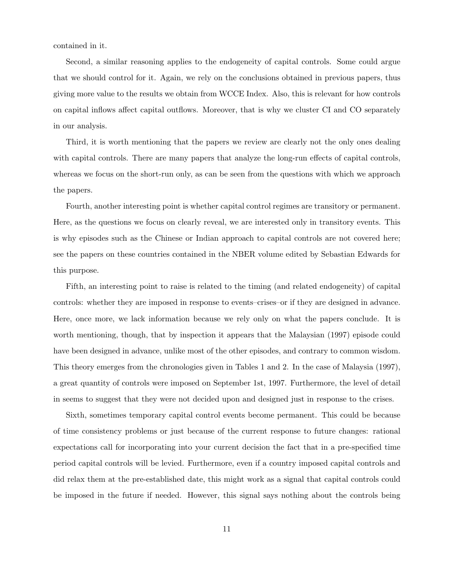contained in it.

Second, a similar reasoning applies to the endogeneity of capital controls. Some could argue that we should control for it. Again, we rely on the conclusions obtained in previous papers, thus giving more value to the results we obtain from WCCE Index. Also, this is relevant for how controls on capital inflows affect capital outflows. Moreover, that is why we cluster CI and CO separately in our analysis.

Third, it is worth mentioning that the papers we review are clearly not the only ones dealing with capital controls. There are many papers that analyze the long-run effects of capital controls, whereas we focus on the short-run only, as can be seen from the questions with which we approach the papers.

Fourth, another interesting point is whether capital control regimes are transitory or permanent. Here, as the questions we focus on clearly reveal, we are interested only in transitory events. This is why episodes such as the Chinese or Indian approach to capital controls are not covered here; see the papers on these countries contained in the NBER volume edited by Sebastian Edwards for this purpose.

Fifth, an interesting point to raise is related to the timing (and related endogeneity) of capital controls: whether they are imposed in response to events–crises–or if they are designed in advance. Here, once more, we lack information because we rely only on what the papers conclude. It is worth mentioning, though, that by inspection it appears that the Malaysian (1997) episode could have been designed in advance, unlike most of the other episodes, and contrary to common wisdom. This theory emerges from the chronologies given in Tables 1 and 2. In the case of Malaysia (1997), a great quantity of controls were imposed on September 1st, 1997. Furthermore, the level of detail in seems to suggest that they were not decided upon and designed just in response to the crises.

Sixth, sometimes temporary capital control events become permanent. This could be because of time consistency problems or just because of the current response to future changes: rational expectations call for incorporating into your current decision the fact that in a pre-specified time period capital controls will be levied. Furthermore, even if a country imposed capital controls and did relax them at the pre-established date, this might work as a signal that capital controls could be imposed in the future if needed. However, this signal says nothing about the controls being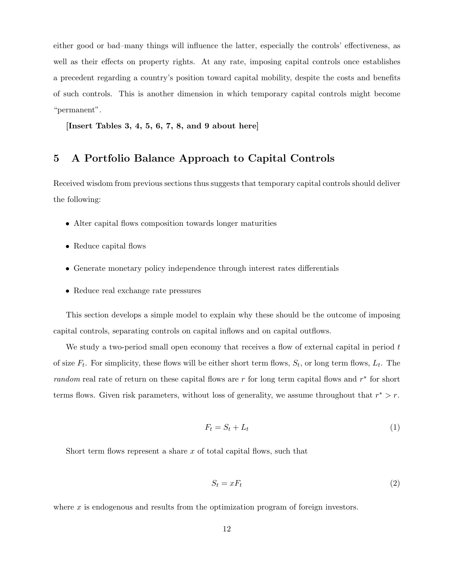either good or bad–many things will influence the latter, especially the controls' effectiveness, as well as their effects on property rights. At any rate, imposing capital controls once establishes a precedent regarding a country's position toward capital mobility, despite the costs and benefits of such controls. This is another dimension in which temporary capital controls might become "permanent".

[Insert Tables 3, 4, 5, 6, 7, 8, and 9 about here]

# 5 A Portfolio Balance Approach to Capital Controls

Received wisdom from previous sections thus suggests that temporary capital controls should deliver the following:

- Alter capital flows composition towards longer maturities
- Reduce capital flows
- Generate monetary policy independence through interest rates differentials
- Reduce real exchange rate pressures

This section develops a simple model to explain why these should be the outcome of imposing capital controls, separating controls on capital inflows and on capital outflows.

We study a two-period small open economy that receives a flow of external capital in period  $t$ of size  $F_t$ . For simplicity, these flows will be either short term flows,  $S_t$ , or long term flows,  $L_t$ . The random real rate of return on these capital flows are r for long term capital flows and  $r^*$  for short terms flows. Given risk parameters, without loss of generality, we assume throughout that  $r^* > r$ .

$$
F_t = S_t + L_t \tag{1}
$$

Short term flows represent a share  $x$  of total capital flows, such that

$$
S_t = xF_t \tag{2}
$$

where x is endogenous and results from the optimization program of foreign investors.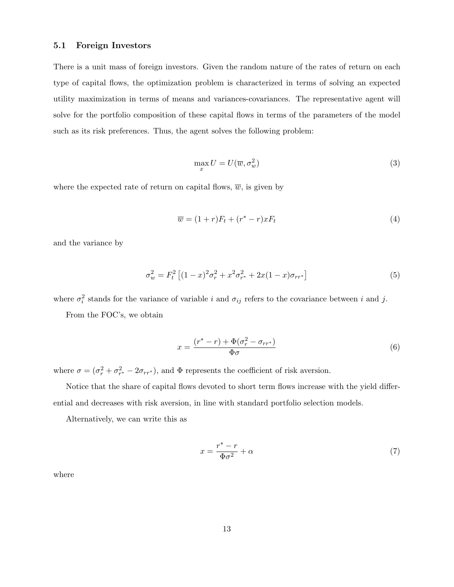#### 5.1 Foreign Investors

There is a unit mass of foreign investors. Given the random nature of the rates of return on each type of capital flows, the optimization problem is characterized in terms of solving an expected utility maximization in terms of means and variances-covariances. The representative agent will solve for the portfolio composition of these capital flows in terms of the parameters of the model such as its risk preferences. Thus, the agent solves the following problem:

$$
\max_{x} U = U(\overline{w}, \sigma_w^2)
$$
\n(3)

where the expected rate of return on capital flows,  $\overline{w}$ , is given by

$$
\overline{w} = (1+r)F_t + (r^* - r)xF_t \tag{4}
$$

and the variance by

$$
\sigma_w^2 = F_t^2 \left[ (1-x)^2 \sigma_r^2 + x^2 \sigma_{r^*}^2 + 2x(1-x) \sigma_{rr^*} \right] \tag{5}
$$

where  $\sigma_i^2$  stands for the variance of variable i and  $\sigma_{ij}$  refers to the covariance between i and j.

From the FOC's, we obtain

$$
x = \frac{(r^* - r) + \Phi(\sigma_r^2 - \sigma_{rr^*})}{\Phi \sigma} \tag{6}
$$

where  $\sigma = (\sigma_r^2 + \sigma_{r^*}^2 - 2\sigma_{rr^*})$ , and  $\Phi$  represents the coefficient of risk aversion.

Notice that the share of capital flows devoted to short term flows increase with the yield differential and decreases with risk aversion, in line with standard portfolio selection models.

Alternatively, we can write this as

$$
x = \frac{r^* - r}{\Phi \sigma^2} + \alpha \tag{7}
$$

where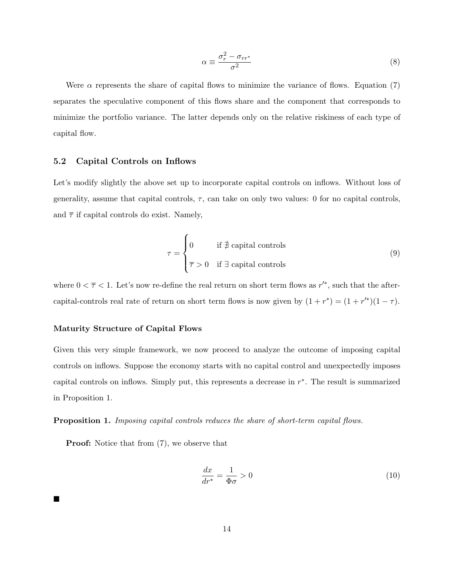$$
\alpha \equiv \frac{\sigma_r^2 - \sigma_{rr^*}}{\sigma^2} \tag{8}
$$

Were  $\alpha$  represents the share of capital flows to minimize the variance of flows. Equation (7) separates the speculative component of this flows share and the component that corresponds to minimize the portfolio variance. The latter depends only on the relative riskiness of each type of capital flow.

#### 5.2 Capital Controls on Inflows

Let's modify slightly the above set up to incorporate capital controls on inflows. Without loss of generality, assume that capital controls,  $\tau$ , can take on only two values: 0 for no capital controls, and  $\bar{\tau}$  if capital controls do exist. Namely,

$$
\tau = \begin{cases}\n0 & \text{if } \nexists \text{ capital controls} \\
\overline{\tau} > 0 \text{ if } \exists \text{ capital controls}\n\end{cases} \tag{9}
$$

where  $0 < \overline{\tau} < 1$ . Let's now re-define the real return on short term flows as r'<sup>\*</sup>, such that the aftercapital-controls real rate of return on short term flows is now given by  $(1 + r^*) = (1 + r'^*)(1 - \tau)$ .

#### Maturity Structure of Capital Flows

Given this very simple framework, we now proceed to analyze the outcome of imposing capital controls on inflows. Suppose the economy starts with no capital control and unexpectedly imposes capital controls on inflows. Simply put, this represents a decrease in  $r^*$ . The result is summarized in Proposition 1.

#### Proposition 1. Imposing capital controls reduces the share of short-term capital flows.

**Proof:** Notice that from  $(7)$ , we observe that

$$
\frac{dx}{dr^*} = \frac{1}{\Phi \sigma} > 0\tag{10}
$$

 $\blacksquare$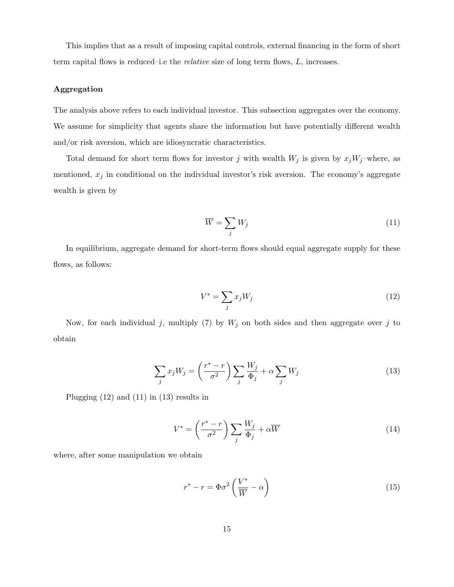This implies that as a result of imposing capital controls, external financing in the form of short term capital flows is reduced–i.e the relative size of long term flows, L, increases.

#### Aggregation

The analysis above refers to each individual investor. This subsection aggregates over the economy. We assume for simplicity that agents share the information but have potentially different wealth and/or risk aversion, which are idiosyncratic characteristics.

Total demand for short term flows for investor j with wealth  $W_j$  is given by  $x_jW_j$ –where, as mentioned,  $x_j$  in conditional on the individual investor's risk aversion. The economy's aggregate wealth is given by

$$
\overline{W} = \sum_{j} W_j \tag{11}
$$

In equilibrium, aggregate demand for short-term flows should equal aggregate supply for these flows, as follows:

$$
V^* = \sum_j x_j W_j \tag{12}
$$

Now, for each individual j, multiply (7) by  $W_j$  on both sides and then aggregate over j to obtain

$$
\sum_{j} x_j W_j = \left(\frac{r^* - r}{\sigma^2}\right) \sum_{j} \frac{W_j}{\Phi_j} + \alpha \sum_{j} W_j \tag{13}
$$

Plugging (12) and (11) in (13) results in

$$
V^* = \left(\frac{r^* - r}{\sigma^2}\right) \sum_j \frac{W_j}{\Phi_j} + \alpha \overline{W}
$$
\n(14)

where, after some manipulation we obtain

$$
r^* - r = \Phi \sigma^2 \left(\frac{V^*}{\overline{W}} - \alpha\right)
$$
 (15)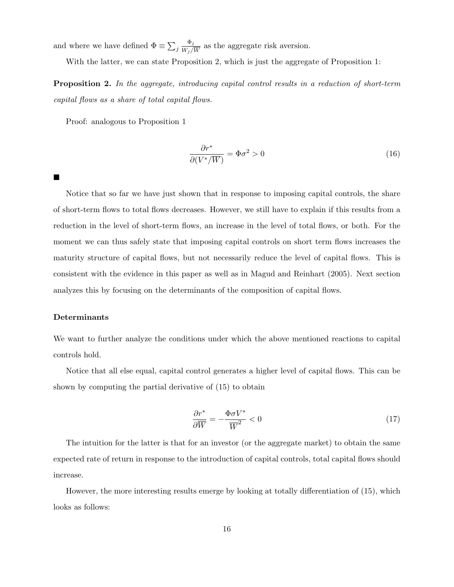and where we have defined  $\Phi \equiv$  $\overline{ }$ j  $\Phi_j$  $\frac{\Phi_j}{W_j/\overline{W}}$  as the aggregate risk aversion.

With the latter, we can state Proposition 2, which is just the aggregate of Proposition 1:

Proposition 2. In the aggregate, introducing capital control results in a reduction of short-term capital flows as a share of total capital flows.

Proof: analogous to Proposition 1

$$
\frac{\partial r^*}{\partial (V^*/\overline{W})} = \Phi \sigma^2 > 0 \tag{16}
$$

 $\blacksquare$ 

Notice that so far we have just shown that in response to imposing capital controls, the share of short-term flows to total flows decreases. However, we still have to explain if this results from a reduction in the level of short-term flows, an increase in the level of total flows, or both. For the moment we can thus safely state that imposing capital controls on short term flows increases the maturity structure of capital flows, but not necessarily reduce the level of capital flows. This is consistent with the evidence in this paper as well as in Magud and Reinhart (2005). Next section analyzes this by focusing on the determinants of the composition of capital flows.

#### Determinants

We want to further analyze the conditions under which the above mentioned reactions to capital controls hold.

Notice that all else equal, capital control generates a higher level of capital flows. This can be shown by computing the partial derivative of (15) to obtain

$$
\frac{\partial r^*}{\partial \overline{W}} = -\frac{\Phi \sigma V^*}{\overline{W}^2} < 0 \tag{17}
$$

The intuition for the latter is that for an investor (or the aggregate market) to obtain the same expected rate of return in response to the introduction of capital controls, total capital flows should increase.

However, the more interesting results emerge by looking at totally differentiation of (15), which looks as follows: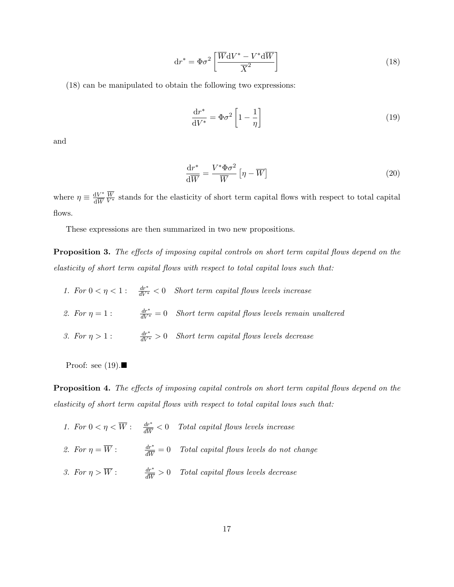$$
\mathrm{d}r^* = \Phi \sigma^2 \left[ \frac{\overline{W} \mathrm{d}V^* - V^* \mathrm{d} \overline{W}}{\overline{X}^2} \right] \tag{18}
$$

(18) can be manipulated to obtain the following two expressions:

$$
\frac{\mathrm{d}r^*}{\mathrm{d}V^*} = \Phi\sigma^2 \left[1 - \frac{1}{\eta}\right] \tag{19}
$$

and

$$
\frac{\mathrm{d}r^*}{\mathrm{d}\overline{W}} = \frac{V^*\Phi\sigma^2}{\overline{W}}\left[\eta - \overline{W}\right]
$$
\n(20)

where  $\eta \equiv \frac{\mathrm{d}V^*}{\mathrm{d}\overline{W}}$  $\mathrm{d}W$  $\frac{\overline{W}}{V^*}$  stands for the elasticity of short term capital flows with respect to total capital flows.

These expressions are then summarized in two new propositions.

Proposition 3. The effects of imposing capital controls on short term capital flows depend on the elasticity of short term capital flows with respect to total capital lows such that:

1. For  $0 < \eta < 1$ :  $\frac{dr^*}{dV^*} < 0$  Short term capital flows levels increase 2. For  $\eta = 1$ :  $\frac{dr^*}{dV^*} = 0$  Short term capital flows levels remain unaltered 3. For  $\eta > 1$ :  $\frac{dr^*}{dV^*} > 0$  Short term capital flows levels decrease

Proof: see  $(19)$ .

Proposition 4. The effects of imposing capital controls on short term capital flows depend on the elasticity of short term capital flows with respect to total capital lows such that:

1. For  $0 < \eta < \overline{W}$ :  $\frac{dr^*}{\overline{W}}$  $\frac{dr^*}{dW} < 0$  Total capital flows levels increase 2. For  $\eta = \overline{W}$ :  $\frac{dr^*}{\overline{M}V}$  $\frac{dr^*}{dW} = 0$  Total capital flows levels do not change 3. For  $\eta > \overline{W}$ :  $\frac{dr^*}{\overline{m}}$  $\frac{dr^*}{dW} > 0$  Total capital flows levels decrease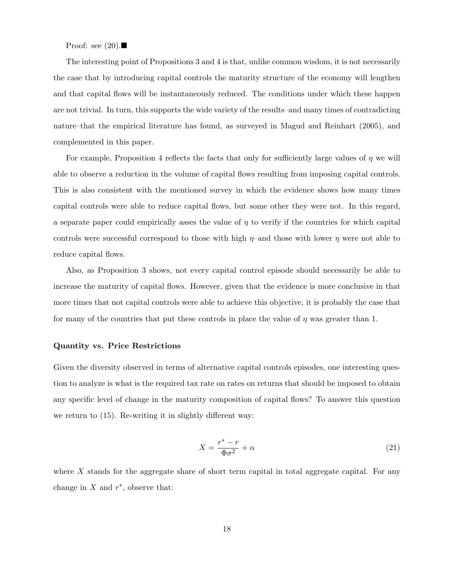Proof: see  $(20)$ .

The interesting point of Propositions 3 and 4 is that, unlike common wisdom, it is not necessarily the case that by introducing capital controls the maturity structure of the economy will lengthen and that capital flows will be instantaneously reduced. The conditions under which these happen are not trivial. In turn, this supports the wide variety of the results–and many times of contradicting nature–that the empirical literature has found, as surveyed in Magud and Reinhart (2005), and complemented in this paper.

For example, Proposition 4 reflects the facts that only for sufficiently large values of  $\eta$  we will able to observe a reduction in the volume of capital flows resulting from imposing capital controls. This is also consistent with the mentioned survey in which the evidence shows how many times capital controls were able to reduce capital flows, but some other they were not. In this regard, a separate paper could empirically asses the value of  $\eta$  to verify if the countries for which capital controls were successful correspond to those with high  $\eta$ –and those with lower  $\eta$  were not able to reduce capital flows.

Also, as Proposition 3 shows, not every capital control episode should necessarily be able to increase the maturity of capital flows. However, given that the evidence is more conclusive in that more times that not capital controls were able to achieve this objective, it is probably the case that for many of the countries that put these controls in place the value of  $\eta$  was greater than 1.

#### Quantity vs. Price Restrictions

Given the diversity observed in terms of alternative capital controls episodes, one interesting question to analyze is what is the required tax rate on rates on returns that should be imposed to obtain any specific level of change in the maturity composition of capital flows? To answer this question we return to (15). Re-writing it in slightly different way:

$$
X = \frac{r^* - r}{\Phi \sigma^2} + \alpha \tag{21}
$$

where  $X$  stands for the aggregate share of short term capital in total aggregate capital. For any change in  $X$  and  $r^*$ , observe that: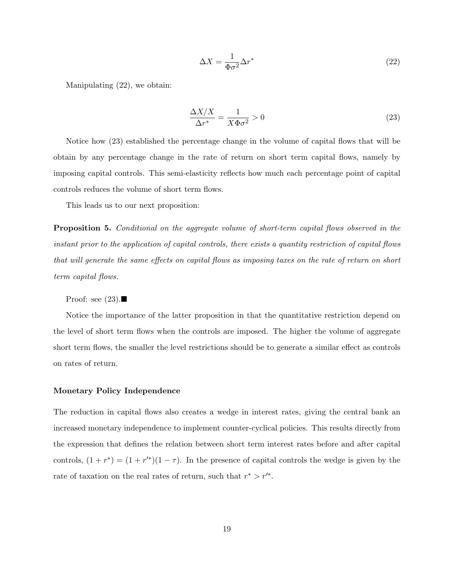$$
\Delta X = \frac{1}{\Phi \sigma^2} \Delta r^* \tag{22}
$$

Manipulating (22), we obtain:

$$
\frac{\Delta X/X}{\Delta r^*} = \frac{1}{X\Phi\sigma^2} > 0\tag{23}
$$

Notice how (23) established the percentage change in the volume of capital flows that will be obtain by any percentage change in the rate of return on short term capital flows, namely by imposing capital controls. This semi-elasticity reflects how much each percentage point of capital controls reduces the volume of short term flows.

This leads us to our next proposition:

**Proposition 5.** Conditional on the aggregate volume of short-term capital flows observed in the instant prior to the application of capital controls, there exists a quantity restriction of capital flows that will generate the same effects on capital flows as imposing taxes on the rate of return on short term capital flows.

Proof: see  $(23)$ .

Notice the importance of the latter proposition in that the quantitative restriction depend on the level of short term flows when the controls are imposed. The higher the volume of aggregate short term flows, the smaller the level restrictions should be to generate a similar effect as controls on rates of return.

#### Monetary Policy Independence

The reduction in capital flows also creates a wedge in interest rates, giving the central bank an increased monetary independence to implement counter-cyclical policies. This results directly from the expression that defines the relation between short term interest rates before and after capital controls,  $(1 + r^*) = (1 + r'^*)(1 - \tau)$ . In the presence of capital controls the wedge is given by the rate of taxation on the real rates of return, such that  $r^* > r'^*$ .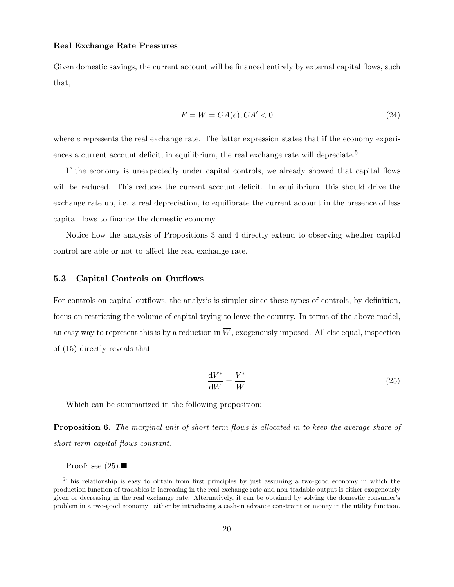#### Real Exchange Rate Pressures

Given domestic savings, the current account will be financed entirely by external capital flows, such that,

$$
F = \overline{W} = CA(e), CA' < 0\tag{24}
$$

where  $e$  represents the real exchange rate. The latter expression states that if the economy experiences a current account deficit, in equilibrium, the real exchange rate will depreciate.<sup>5</sup>

If the economy is unexpectedly under capital controls, we already showed that capital flows will be reduced. This reduces the current account deficit. In equilibrium, this should drive the exchange rate up, i.e. a real depreciation, to equilibrate the current account in the presence of less capital flows to finance the domestic economy.

Notice how the analysis of Propositions 3 and 4 directly extend to observing whether capital control are able or not to affect the real exchange rate.

#### 5.3 Capital Controls on Outflows

For controls on capital outflows, the analysis is simpler since these types of controls, by definition, focus on restricting the volume of capital trying to leave the country. In terms of the above model, an easy way to represent this is by a reduction in  $\overline{W}$ , exogenously imposed. All else equal, inspection of (15) directly reveals that

$$
\frac{\mathrm{d}V^*}{\mathrm{d}\overline{W}} = \frac{V^*}{\overline{W}}\tag{25}
$$

Which can be summarized in the following proposition:

**Proposition 6.** The marginal unit of short term flows is allocated in to keep the average share of short term capital flows constant.

Proof: see  $(25)$ .

<sup>&</sup>lt;sup>5</sup>This relationship is easy to obtain from first principles by just assuming a two-good economy in which the production function of tradables is increasing in the real exchange rate and non-tradable output is either exogenously given or decreasing in the real exchange rate. Alternatively, it can be obtained by solving the domestic consumer's problem in a two-good economy –either by introducing a cash-in advance constraint or money in the utility function.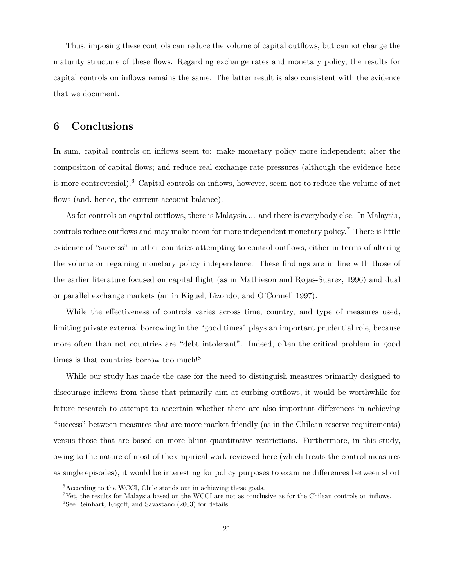Thus, imposing these controls can reduce the volume of capital outflows, but cannot change the maturity structure of these flows. Regarding exchange rates and monetary policy, the results for capital controls on inflows remains the same. The latter result is also consistent with the evidence that we document.

# 6 Conclusions

In sum, capital controls on inflows seem to: make monetary policy more independent; alter the composition of capital flows; and reduce real exchange rate pressures (although the evidence here is more controversial).<sup>6</sup> Capital controls on inflows, however, seem not to reduce the volume of net flows (and, hence, the current account balance).

As for controls on capital outflows, there is Malaysia ... and there is everybody else. In Malaysia, controls reduce outflows and may make room for more independent monetary policy.<sup>7</sup> There is little evidence of "success" in other countries attempting to control outflows, either in terms of altering the volume or regaining monetary policy independence. These findings are in line with those of the earlier literature focused on capital flight (as in Mathieson and Rojas-Suarez, 1996) and dual or parallel exchange markets (an in Kiguel, Lizondo, and O'Connell 1997).

While the effectiveness of controls varies across time, country, and type of measures used, limiting private external borrowing in the "good times" plays an important prudential role, because more often than not countries are "debt intolerant". Indeed, often the critical problem in good times is that countries borrow too much!<sup>8</sup>

While our study has made the case for the need to distinguish measures primarily designed to discourage inflows from those that primarily aim at curbing outflows, it would be worthwhile for future research to attempt to ascertain whether there are also important differences in achieving "success" between measures that are more market friendly (as in the Chilean reserve requirements) versus those that are based on more blunt quantitative restrictions. Furthermore, in this study, owing to the nature of most of the empirical work reviewed here (which treats the control measures as single episodes), it would be interesting for policy purposes to examine differences between short

 $^6\textnormal{According to the WCCI, Chile stands out in achieving these goals.}$ 

<sup>7</sup>Yet, the results for Malaysia based on the WCCI are not as conclusive as for the Chilean controls on inflows.

<sup>8</sup>See Reinhart, Rogoff, and Savastano (2003) for details.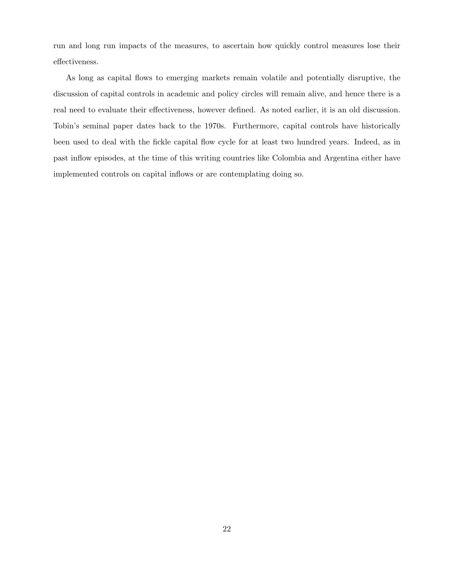run and long run impacts of the measures, to ascertain how quickly control measures lose their effectiveness.

As long as capital flows to emerging markets remain volatile and potentially disruptive, the discussion of capital controls in academic and policy circles will remain alive, and hence there is a real need to evaluate their effectiveness, however defined. As noted earlier, it is an old discussion. Tobin's seminal paper dates back to the 1970s. Furthermore, capital controls have historically been used to deal with the fickle capital flow cycle for at least two hundred years. Indeed, as in past inflow episodes, at the time of this writing countries like Colombia and Argentina either have implemented controls on capital inflows or are contemplating doing so.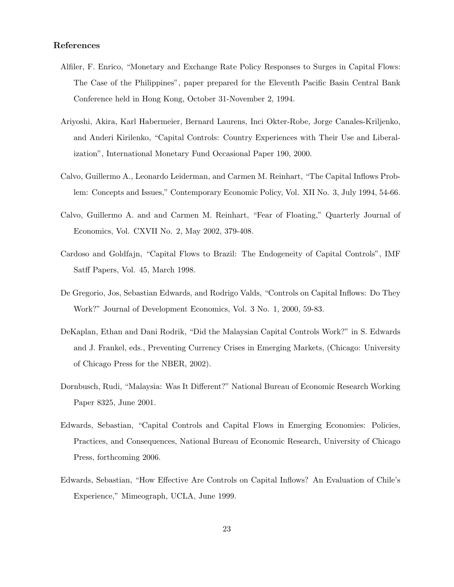#### References

- Alfiler, F. Enrico, "Monetary and Exchange Rate Policy Responses to Surges in Capital Flows: The Case of the Philippines", paper prepared for the Eleventh Pacific Basin Central Bank Conference held in Hong Kong, October 31-November 2, 1994.
- Ariyoshi, Akira, Karl Habermeier, Bernard Laurens, Inci Okter-Robe, Jorge Canales-Kriljenko, and Anderi Kirilenko, "Capital Controls: Country Experiences with Their Use and Liberalization", International Monetary Fund Occasional Paper 190, 2000.
- Calvo, Guillermo A., Leonardo Leiderman, and Carmen M. Reinhart, "The Capital Inflows Problem: Concepts and Issues," Contemporary Economic Policy, Vol. XII No. 3, July 1994, 54-66.
- Calvo, Guillermo A. and and Carmen M. Reinhart, "Fear of Floating," Quarterly Journal of Economics, Vol. CXVII No. 2, May 2002, 379-408.
- Cardoso and Goldfajn, "Capital Flows to Brazil: The Endogeneity of Capital Controls", IMF Satff Papers, Vol. 45, March 1998.
- De Gregorio, Jos, Sebastian Edwards, and Rodrigo Valds, "Controls on Capital Inflows: Do They Work?" Journal of Development Economics, Vol. 3 No. 1, 2000, 59-83.
- DeKaplan, Ethan and Dani Rodrik, "Did the Malaysian Capital Controls Work?" in S. Edwards and J. Frankel, eds., Preventing Currency Crises in Emerging Markets, (Chicago: University of Chicago Press for the NBER, 2002).
- Dornbusch, Rudi, "Malaysia: Was It Different?" National Bureau of Economic Research Working Paper 8325, June 2001.
- Edwards, Sebastian, "Capital Controls and Capital Flows in Emerging Economies: Policies, Practices, and Consequences, National Bureau of Economic Research, University of Chicago Press, forthcoming 2006.
- Edwards, Sebastian, "How Effective Are Controls on Capital Inflows? An Evaluation of Chile's Experience," Mimeograph, UCLA, June 1999.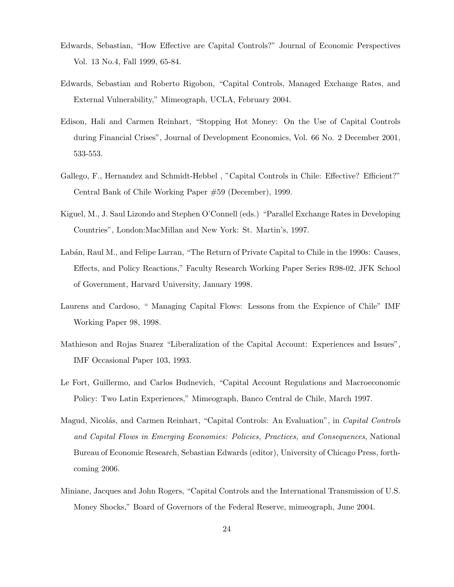- Edwards, Sebastian, "How Effective are Capital Controls?" Journal of Economic Perspectives Vol. 13 No.4, Fall 1999, 65-84.
- Edwards, Sebastian and Roberto Rigobon, "Capital Controls, Managed Exchange Rates, and External Vulnerability," Mimeograph, UCLA, February 2004.
- Edison, Hali and Carmen Reinhart, "Stopping Hot Money: On the Use of Capital Controls during Financial Crises", Journal of Development Economics, Vol. 66 No. 2 December 2001, 533-553.
- Gallego, F., Hernandez and Schmidt-Hebbel , "Capital Controls in Chile: Effective? Efficient?" Central Bank of Chile Working Paper #59 (December), 1999.
- Kiguel, M., J. Saul Lizondo and Stephen O'Connell (eds.) "Parallel Exchange Rates in Developing Countries", London:MacMillan and New York: St. Martin's, 1997.
- Labán, Raul M., and Felipe Larran, "The Return of Private Capital to Chile in the 1990s: Causes, Effects, and Policy Reactions," Faculty Research Working Paper Series R98-02, JFK School of Government, Harvard University, January 1998.
- Laurens and Cardoso, " Managing Capital Flows: Lessons from the Expience of Chile" IMF Working Paper 98, 1998.
- Mathieson and Rojas Suarez "Liberalization of the Capital Account: Experiences and Issues", IMF Occasional Paper 103, 1993.
- Le Fort, Guillermo, and Carlos Budnevich, "Capital Account Regulations and Macroeconomic Policy: Two Latin Experiences," Mimeograph, Banco Central de Chile, March 1997.
- Magud, Nicolás, and Carmen Reinhart, "Capital Controls: An Evaluation", in Capital Controls and Capital Flows in Emerging Economies: Policies, Practices, and Consequences, National Bureau of Economic Research, Sebastian Edwards (editor), University of Chicago Press, forthcoming 2006.
- Miniane, Jacques and John Rogers, "Capital Controls and the International Transmission of U.S. Money Shocks," Board of Governors of the Federal Reserve, mimeograph, June 2004.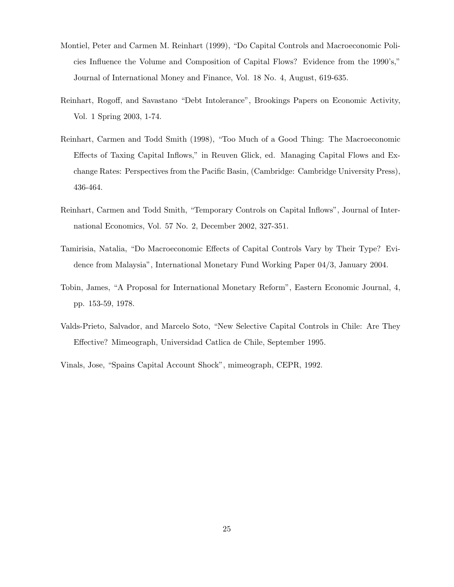- Montiel, Peter and Carmen M. Reinhart (1999), "Do Capital Controls and Macroeconomic Policies Influence the Volume and Composition of Capital Flows? Evidence from the 1990's," Journal of International Money and Finance, Vol. 18 No. 4, August, 619-635.
- Reinhart, Rogoff, and Savastano "Debt Intolerance", Brookings Papers on Economic Activity, Vol. 1 Spring 2003, 1-74.
- Reinhart, Carmen and Todd Smith (1998), "Too Much of a Good Thing: The Macroeconomic Effects of Taxing Capital Inflows," in Reuven Glick, ed. Managing Capital Flows and Exchange Rates: Perspectives from the Pacific Basin, (Cambridge: Cambridge University Press), 436-464.
- Reinhart, Carmen and Todd Smith, "Temporary Controls on Capital Inflows", Journal of International Economics, Vol. 57 No. 2, December 2002, 327-351.
- Tamirisia, Natalia, "Do Macroeconomic Effects of Capital Controls Vary by Their Type? Evidence from Malaysia", International Monetary Fund Working Paper 04/3, January 2004.
- Tobin, James, "A Proposal for International Monetary Reform", Eastern Economic Journal, 4, pp. 153-59, 1978.
- Valds-Prieto, Salvador, and Marcelo Soto, "New Selective Capital Controls in Chile: Are They Effective? Mimeograph, Universidad Catlica de Chile, September 1995.

Vinals, Jose, "Spains Capital Account Shock", mimeograph, CEPR, 1992.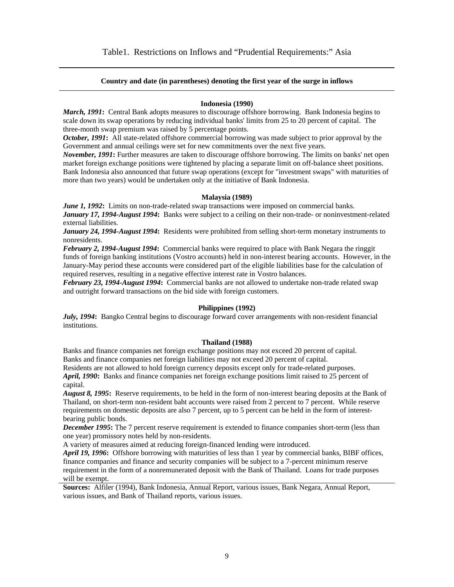#### **Country and date (in parentheses) denoting the first year of the surge in inflows**

#### **Indonesia (1990)**

*March, 1991*: Central Bank adopts measures to discourage offshore borrowing. Bank Indonesia begins to scale down its swap operations by reducing individual banks' limits from 25 to 20 percent of capital. The three-month swap premium was raised by 5 percentage points.

*October, 1991***:** All state-related offshore commercial borrowing was made subject to prior approval by the Government and annual ceilings were set for new commitments over the next five years.

*November, 1991***:** Further measures are taken to discourage offshore borrowing. The limits on banks' net open market foreign exchange positions were tightened by placing a separate limit on off-balance sheet positions. Bank Indonesia also announced that future swap operations (except for "investment swaps" with maturities of more than two years) would be undertaken only at the initiative of Bank Indonesia.

#### **Malaysia (1989)**

*June 1, 1992*: Limits on non-trade-related swap transactions were imposed on commercial banks. *January 17, 1994-August 1994***:** Banks were subject to a ceiling on their non-trade- or noninvestment-related external liabilities.

*January 24, 1994-August 1994***:** Residents were prohibited from selling short-term monetary instruments to nonresidents.

*February 2, 1994-August 1994***:** Commercial banks were required to place with Bank Negara the ringgit funds of foreign banking institutions (Vostro accounts) held in non-interest bearing accounts. However, in the January-May period these accounts were considered part of the eligible liabilities base for the calculation of required reserves, resulting in a negative effective interest rate in Vostro balances.

*February 23, 1994-August 1994***:** Commercial banks are not allowed to undertake non-trade related swap and outright forward transactions on the bid side with foreign customers.

#### **Philippines (1992)**

*July, 1994***:** Bangko Central begins to discourage forward cover arrangements with non-resident financial institutions.

#### **Thailand (1988)**

Banks and finance companies net foreign exchange positions may not exceed 20 percent of capital. Banks and finance companies net foreign liabilities may not exceed 20 percent of capital. Residents are not allowed to hold foreign currency deposits except only for trade-related purposes.

*April, 1990***:** Banks and finance companies net foreign exchange positions limit raised to 25 percent of capital.

*August 8, 1995***:** Reserve requirements, to be held in the form of non-interest bearing deposits at the Bank of Thailand, on short-term non-resident baht accounts were raised from 2 percent to 7 percent. While reserve requirements on domestic deposits are also 7 percent, up to 5 percent can be held in the form of interestbearing public bonds.

*December 1995*: The 7 percent reserve requirement is extended to finance companies short-term (less than one year) promissory notes held by non-residents.

A variety of measures aimed at reducing foreign-financed lending were introduced.

*April 19, 1996***:** Offshore borrowing with maturities of less than 1 year by commercial banks, BIBF offices, finance companies and finance and security companies will be subject to a 7-percent minimum reserve requirement in the form of a nonremunerated deposit with the Bank of Thailand. Loans for trade purposes will be exempt.

**Sources:** Alfiler (1994), Bank Indonesia, Annual Report, various issues, Bank Negara, Annual Report, various issues, and Bank of Thailand reports, various issues.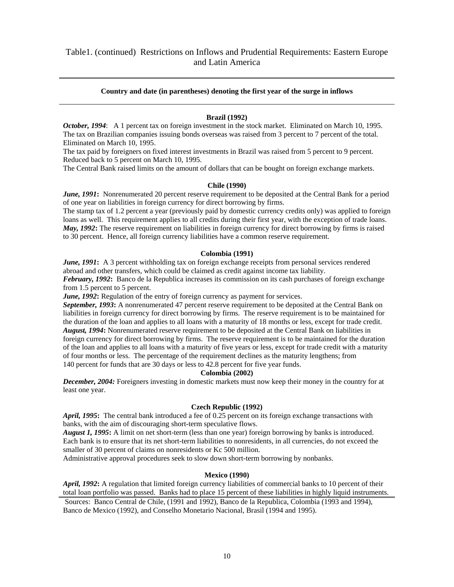#### **Country and date (in parentheses) denoting the first year of the surge in inflows**

#### **Brazil (1992)**

*October, 1994*: A 1 percent tax on foreign investment in the stock market. Eliminated on March 10, 1995. The tax on Brazilian companies issuing bonds overseas was raised from 3 percent to 7 percent of the total. Eliminated on March 10, 1995.

The tax paid by foreigners on fixed interest investments in Brazil was raised from 5 percent to 9 percent. Reduced back to 5 percent on March 10, 1995.

The Central Bank raised limits on the amount of dollars that can be bought on foreign exchange markets.

#### **Chile (1990)**

*June, 1991***:** Nonrenumerated 20 percent reserve requirement to be deposited at the Central Bank for a period of one year on liabilities in foreign currency for direct borrowing by firms.

The stamp tax of 1.2 percent a year (previously paid by domestic currency credits only) was applied to foreign loans as well. This requirement applies to all credits during their first year, with the exception of trade loans. *May, 1992***:** The reserve requirement on liabilities in foreign currency for direct borrowing by firms is raised to 30 percent. Hence, all foreign currency liabilities have a common reserve requirement.

#### **Colombia (1991)**

*June, 1991***:** A 3 percent withholding tax on foreign exchange receipts from personal services rendered abroad and other transfers, which could be claimed as credit against income tax liability.

*February, 1992***:** Banco de la Republica increases its commission on its cash purchases of foreign exchange from 1.5 percent to 5 percent.

*June, 1992***:** Regulation of the entry of foreign currency as payment for services.

**September, 1993:** A nonrenumerated 47 percent reserve requirement to be deposited at the Central Bank on liabilities in foreign currency for direct borrowing by firms. The reserve requirement is to be maintained for the duration of the loan and applies to all loans with a maturity of 18 months or less, except for trade credit. *August, 1994***:** Nonrenumerated reserve requirement to be deposited at the Central Bank on liabilities in foreign currency for direct borrowing by firms. The reserve requirement is to be maintained for the duration of the loan and applies to all loans with a maturity of five years or less, except for trade credit with a maturity of four months or less. The percentage of the requirement declines as the maturity lengthens; from 140 percent for funds that are 30 days or less to 42.8 percent for five year funds.

#### **Colombia (2002)**

*December, 2004:* Foreigners investing in domestic markets must now keep their money in the country for at least one year.

#### **Czech Republic (1992)**

*April, 1995***:** The central bank introduced a fee of 0.25 percent on its foreign exchange transactions with banks, with the aim of discouraging short-term speculative flows.

*August 1, 1995***:** A limit on net short-term (less than one year) foreign borrowing by banks is introduced. Each bank is to ensure that its net short-term liabilities to nonresidents, in all currencies, do not exceed the smaller of 30 percent of claims on nonresidents or Kc 500 million.

Administrative approval procedures seek to slow down short-term borrowing by nonbanks.

#### **Mexico (1990)**

*April, 1992***:** A regulation that limited foreign currency liabilities of commercial banks to 10 percent of their total loan portfolio was passed. Banks had to place 15 percent of these liabilities in highly liquid instruments.

Sources: Banco Central de Chile, (1991 and 1992), Banco de la Republica, Colombia (1993 and 1994), Banco de Mexico (1992), and Conselho Monetario Nacional, Brasil (1994 and 1995).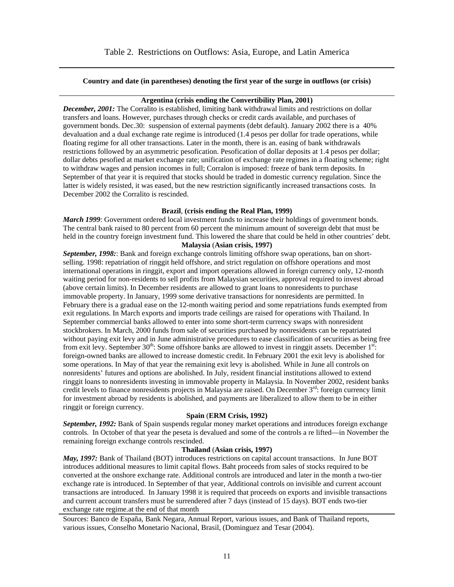#### **Country and date (in parentheses) denoting the first year of the surge in outflows (or crisis)**

#### **Argentina (crisis ending the Convertibility Plan, 2001)**

*December, 2001:* The Corralito is established, limiting bank withdrawal limits and restrictions on dollar transfers and loans. However, purchases through checks or credit cards available, and purchases of government bonds. Dec.30: suspension of external payments (debt default). January 2002 there is a 40% devaluation and a dual exchange rate regime is introduced (1.4 pesos per dollar for trade operations, while floating regime for all other transactions. Later in the month, there is an. easing of bank withdrawals restrictions followed by an asymmetric pesofication. Pesofication of dollar deposits at 1.4 pesos per dollar; dollar debts pesofied at market exchange rate; unification of exchange rate regimes in a floating scheme; right to withdraw wages and pension incomes in full; Corralon is imposed: freeze of bank term deposits. In September of that year it is required that stocks should be traded in domestic currency regulation. Since the latter is widely resisted, it was eased, but the new restriction significantly increased transactions costs. In December 2002 the Corralito is rescinded.

#### **Brazil**, **(crisis ending the Real Plan, 1999)**

*March 1999*: Government ordered local investment funds to increase their holdings of government bonds. The central bank raised to 80 percent from 60 percent the minimum amount of sovereign debt that must be held in the country foreign investment fund. This lowered the share that could be held in other countries' debt. **Malaysia** (**Asian crisis, 1997)** 

*September, 1998:*: Bank and foreign exchange controls limiting offshore swap operations, ban on shortselling. 1998: repatriation of ringgit held offshore, and strict regulation on offshore operations and most international operations in ringgit, export and import operations allowed in foreign currency only, 12-month waiting period for non-residents to sell profits from Malaysian securities, approval required to invest abroad (above certain limits). In December residents are allowed to grant loans to nonresidents to purchase immovable property. In January, 1999 some derivative transactions for nonresidents are permitted. In February there is a gradual ease on the 12-month waiting period and some repatriations funds exempted from exit regulations. In March exports and imports trade ceilings are raised for operations with Thailand. In September commercial banks allowed to enter into some short-term currency swaps with nonresident stockbrokers. In March, 2000 funds from sale of securities purchased by nonresidents can be repatriated without paying exit levy and in June administrative procedures to ease classification of securities as being free from exit levy. September  $30<sup>th</sup>$ : Some offshore banks are allowed to invest in ringgit assets. December  $1<sup>st</sup>$ : foreign-owned banks are allowed to increase domestic credit. In February 2001 the exit levy is abolished for some operations. In May of that year the remaining exit levy is abolished. While in June all controls on nonresidents' futures and options are abolished. In July, resident financial institutions allowed to extend ringgit loans to nonresidents investing in immovable property in Malaysia. In November 2002, resident banks credit levels to finance nonresidents projects in Malaysia are raised. On December 3rd: foreign currency limit for investment abroad by residents is abolished, and payments are liberalized to allow them to be in either ringgit or foreign currency.

#### **Spain** (**ERM Crisis, 1992)**

*September, 1992:* Bank of Spain suspends regular money market operations and introduces foreign exchange controls. In October of that year the peseta is devalued and some of the controls a re lifted—in November the remaining foreign exchange controls rescinded.

#### **Thailand** (**Asian crisis, 1997)**

*May, 1997: Bank of Thailand (BOT) introduces restrictions on capital account transactions. In June BOT* introduces additional measures to limit capital flows. Baht proceeds from sales of stocks required to be converted at the onshore exchange rate. Additional controls are introduced and later in the month a two-tier exchange rate is introduced. In September of that year, Additional controls on invisible and current account transactions are introduced. In January 1998 it is required that proceeds on exports and invisible transactions and current account transfers must be surrendered after 7 days (instead of 15 days). BOT ends two-tier exchange rate regime.at the end of that month

Sources: Banco de España, Bank Negara, Annual Report, various issues, and Bank of Thailand reports, various issues, Conselho Monetario Nacional, Brasil, (Dominguez and Tesar (2004).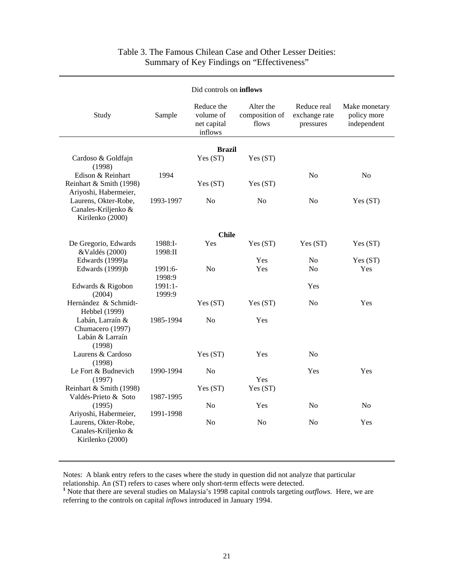|                                                                       |                      | Did controls on inflows                           |                                      |                                           |                                             |
|-----------------------------------------------------------------------|----------------------|---------------------------------------------------|--------------------------------------|-------------------------------------------|---------------------------------------------|
| Study                                                                 | Sample               | Reduce the<br>volume of<br>net capital<br>inflows | Alter the<br>composition of<br>flows | Reduce real<br>exchange rate<br>pressures | Make monetary<br>policy more<br>independent |
|                                                                       |                      | <b>Brazil</b>                                     |                                      |                                           |                                             |
| Cardoso & Goldfajn<br>(1998)                                          |                      | Yes (ST)                                          | Yes (ST)                             |                                           |                                             |
| Edison & Reinhart<br>Reinhart & Smith (1998)<br>Ariyoshi, Habermeier, | 1994                 | Yes (ST)                                          | Yes (ST)                             | N <sub>0</sub>                            | No                                          |
| Laurens, Okter-Robe,<br>Canales-Kriljenko &<br>Kirilenko (2000)       | 1993-1997            | N <sub>o</sub>                                    | N <sub>o</sub>                       | N <sub>0</sub>                            | Yes (ST)                                    |
|                                                                       |                      | <b>Chile</b>                                      |                                      |                                           |                                             |
| De Gregorio, Edwards<br>&Valdés (2000)                                | $1988:1-$<br>1998:II | Yes                                               | Yes (ST)                             | Yes (ST)                                  | Yes (ST)                                    |
| Edwards (1999)a                                                       |                      |                                                   | Yes                                  | N <sub>o</sub>                            | Yes (ST)                                    |
| Edwards (1999)b                                                       | 1991:6-<br>1998:9    | N <sub>o</sub>                                    | Yes                                  | No                                        | Yes                                         |
| Edwards & Rigobon<br>(2004)                                           | 1991:1-<br>1999:9    |                                                   |                                      | Yes                                       |                                             |
| Hernández & Schmidt-<br>Hebbel (1999)                                 |                      | Yes (ST)                                          | Yes (ST)                             | N <sub>o</sub>                            | Yes                                         |
| Labán, Larraín &<br>Chumacero (1997)<br>Labán & Larraín<br>(1998)     | 1985-1994            | N <sub>0</sub>                                    | Yes                                  |                                           |                                             |
| Laurens & Cardoso<br>(1998)                                           |                      | Yes (ST)                                          | Yes                                  | N <sub>0</sub>                            |                                             |
| Le Fort & Budnevich<br>(1997)                                         | 1990-1994            | No                                                | Yes                                  | Yes                                       | Yes                                         |
| Reinhart & Smith (1998)<br>Valdés-Prieto & Soto                       | 1987-1995            | Yes (ST)                                          | Yes (ST)                             |                                           |                                             |
| (1995)<br>Ariyoshi, Habermeier,                                       | 1991-1998            | N <sub>0</sub>                                    | Yes                                  | N <sub>0</sub>                            | N <sub>0</sub>                              |
| Laurens, Okter-Robe,<br>Canales-Kriljenko &<br>Kirilenko (2000)       |                      | No                                                | N <sub>o</sub>                       | No                                        | Yes                                         |

# Table 3. The Famous Chilean Case and Other Lesser Deities: Summary of Key Findings on "Effectiveness"

Notes: A blank entry refers to the cases where the study in question did not analyze that particular

relationship. An (ST) refers to cases where only short-term effects were detected. **<sup>1</sup>** Note that there are several studies on Malaysia's 1998 capital controls targeting *outflows.* Here, we are referring to the controls on capital *inflows* introduced in January 1994.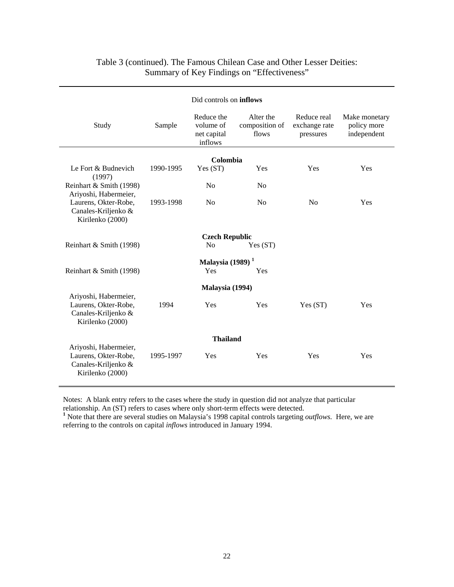| Did controls on <b>inflows</b>                                                           |                 |                                                   |                                      |                                           |                                             |  |  |
|------------------------------------------------------------------------------------------|-----------------|---------------------------------------------------|--------------------------------------|-------------------------------------------|---------------------------------------------|--|--|
| Study                                                                                    | Sample          | Reduce the<br>volume of<br>net capital<br>inflows | Alter the<br>composition of<br>flows | Reduce real<br>exchange rate<br>pressures | Make monetary<br>policy more<br>independent |  |  |
|                                                                                          |                 |                                                   |                                      |                                           |                                             |  |  |
|                                                                                          |                 | Colombia                                          |                                      |                                           |                                             |  |  |
| Le Fort & Budnevich<br>(1997)                                                            | 1990-1995       | Yes (ST)                                          | Yes                                  | Yes                                       | Yes                                         |  |  |
| Reinhart & Smith (1998)<br>Ariyoshi, Habermeier,                                         |                 | N <sub>o</sub>                                    | No                                   |                                           |                                             |  |  |
| Laurens, Okter-Robe,<br>Canales-Kriljenko &<br>Kirilenko (2000)                          | 1993-1998       | N <sub>0</sub>                                    | N <sub>0</sub>                       | No                                        | Yes                                         |  |  |
|                                                                                          |                 | <b>Czech Republic</b>                             |                                      |                                           |                                             |  |  |
| Reinhart & Smith (1998)                                                                  |                 | N <sub>o</sub>                                    | Yes (ST)                             |                                           |                                             |  |  |
|                                                                                          |                 | Malaysia $(1989)$ <sup>1</sup>                    |                                      |                                           |                                             |  |  |
| Reinhart & Smith (1998)                                                                  |                 | Yes                                               | Yes                                  |                                           |                                             |  |  |
|                                                                                          |                 | Malaysia (1994)                                   |                                      |                                           |                                             |  |  |
| Ariyoshi, Habermeier,<br>Laurens, Okter-Robe,<br>Canales-Kriljenko &<br>Kirilenko (2000) | 1994            | Yes                                               | Yes                                  | Yes (ST)                                  | Yes                                         |  |  |
|                                                                                          | <b>Thailand</b> |                                                   |                                      |                                           |                                             |  |  |
| Ariyoshi, Habermeier,<br>Laurens, Okter-Robe,<br>Canales-Kriljenko &<br>Kirilenko (2000) | 1995-1997       | Yes                                               | Yes                                  | Yes                                       | Yes                                         |  |  |

# Table 3 (continued). The Famous Chilean Case and Other Lesser Deities: Summary of Key Findings on "Effectiveness"

Notes: A blank entry refers to the cases where the study in question did not analyze that particular relationship. An (ST) refers to cases where only short-term effects were detected.

<sup>1</sup> Note that there are several studies on Malaysia's 1998 capital controls targeting *outflows*. Here, we are referring to the controls on capital *inflows* introduced in January 1994.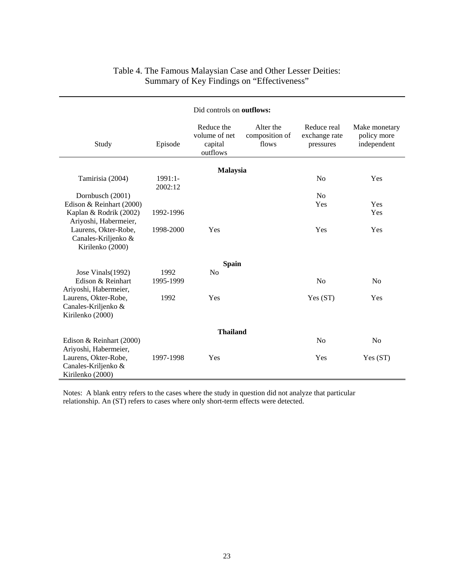| Did controls on outflows:                                                                |                      |                                                    |                                      |                                           |                                             |  |  |
|------------------------------------------------------------------------------------------|----------------------|----------------------------------------------------|--------------------------------------|-------------------------------------------|---------------------------------------------|--|--|
| Study                                                                                    | Episode              | Reduce the<br>volume of net<br>capital<br>outflows | Alter the<br>composition of<br>flows | Reduce real<br>exchange rate<br>pressures | Make monetary<br>policy more<br>independent |  |  |
|                                                                                          |                      | Malaysia                                           |                                      |                                           |                                             |  |  |
| Tamirisia (2004)                                                                         | $1991:1-$<br>2002:12 |                                                    |                                      | N <sub>0</sub>                            | Yes                                         |  |  |
| Dornbusch (2001)                                                                         |                      |                                                    |                                      | N <sub>0</sub>                            |                                             |  |  |
| Edison & Reinhart (2000)                                                                 |                      |                                                    |                                      | Yes                                       | Yes                                         |  |  |
| Kaplan & Rodrik (2002)<br>Ariyoshi, Habermeier,                                          | 1992-1996            |                                                    |                                      |                                           | Yes                                         |  |  |
| Laurens, Okter-Robe,<br>Canales-Kriljenko &<br>Kirilenko (2000)                          | 1998-2000            | Yes                                                |                                      | Yes                                       | Yes                                         |  |  |
|                                                                                          |                      | <b>Spain</b>                                       |                                      |                                           |                                             |  |  |
| Jose Vinals(1992)                                                                        | 1992                 | N <sub>o</sub>                                     |                                      |                                           |                                             |  |  |
| Edison & Reinhart<br>Ariyoshi, Habermeier,                                               | 1995-1999            |                                                    |                                      | N <sub>o</sub>                            | N <sub>0</sub>                              |  |  |
| Laurens, Okter-Robe,<br>Canales-Kriljenko &<br>Kirilenko (2000)                          | 1992                 | Yes                                                |                                      | Yes(ST)                                   | Yes                                         |  |  |
|                                                                                          |                      | <b>Thailand</b>                                    |                                      |                                           |                                             |  |  |
| Edison & Reinhart (2000)                                                                 |                      |                                                    |                                      | No                                        | No                                          |  |  |
| Ariyoshi, Habermeier,<br>Laurens, Okter-Robe,<br>Canales-Kriljenko &<br>Kirilenko (2000) | 1997-1998            | Yes                                                |                                      | Yes                                       | Yes (ST)                                    |  |  |

# Table 4. The Famous Malaysian Case and Other Lesser Deities: Summary of Key Findings on "Effectiveness"

Notes: A blank entry refers to the cases where the study in question did not analyze that particular relationship. An (ST) refers to cases where only short-term effects were detected.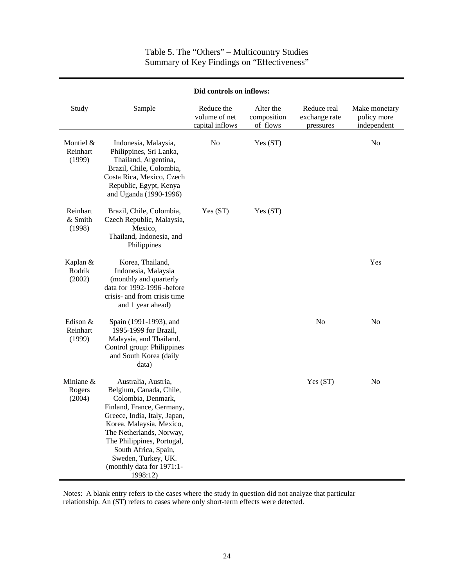| Did controls on inflows:        |                                                                                                                                                                                                                                                                                                                 |                                                |                                      |                                           |                                             |  |  |
|---------------------------------|-----------------------------------------------------------------------------------------------------------------------------------------------------------------------------------------------------------------------------------------------------------------------------------------------------------------|------------------------------------------------|--------------------------------------|-------------------------------------------|---------------------------------------------|--|--|
| Study                           | Sample                                                                                                                                                                                                                                                                                                          | Reduce the<br>volume of net<br>capital inflows | Alter the<br>composition<br>of flows | Reduce real<br>exchange rate<br>pressures | Make monetary<br>policy more<br>independent |  |  |
| Montiel &<br>Reinhart<br>(1999) | Indonesia, Malaysia,<br>Philippines, Sri Lanka,<br>Thailand, Argentina,<br>Brazil, Chile, Colombia,<br>Costa Rica, Mexico, Czech<br>Republic, Egypt, Kenya<br>and Uganda (1990-1996)                                                                                                                            | N <sub>0</sub>                                 | Yes (ST)                             |                                           | No                                          |  |  |
| Reinhart<br>& Smith<br>(1998)   | Brazil, Chile, Colombia,<br>Czech Republic, Malaysia,<br>Mexico,<br>Thailand, Indonesia, and<br>Philippines                                                                                                                                                                                                     | Yes (ST)                                       | Yes (ST)                             |                                           |                                             |  |  |
| Kaplan &<br>Rodrik<br>(2002)    | Korea, Thailand,<br>Indonesia, Malaysia<br>(monthly and quarterly<br>data for 1992-1996 -before<br>crisis- and from crisis time<br>and 1 year ahead)                                                                                                                                                            |                                                |                                      |                                           | Yes                                         |  |  |
| Edison &<br>Reinhart<br>(1999)  | Spain (1991-1993), and<br>1995-1999 for Brazil,<br>Malaysia, and Thailand.<br>Control group: Philippines<br>and South Korea (daily<br>data)                                                                                                                                                                     |                                                |                                      | No                                        | N <sub>0</sub>                              |  |  |
| Miniane &<br>Rogers<br>(2004)   | Australia, Austria,<br>Belgium, Canada, Chile,<br>Colombia, Denmark,<br>Finland, France, Germany,<br>Greece, India, Italy, Japan,<br>Korea, Malaysia, Mexico,<br>The Netherlands, Norway,<br>The Philippines, Portugal,<br>South Africa, Spain,<br>Sweden, Turkey, UK.<br>(monthly data for 1971:1-<br>1998:12) |                                                |                                      | Yes (ST)                                  | No                                          |  |  |

### Table 5. The "Others" – Multicountry Studies Summary of Key Findings on "Effectiveness"

Notes: A blank entry refers to the cases where the study in question did not analyze that particular relationship. An (ST) refers to cases where only short-term effects were detected.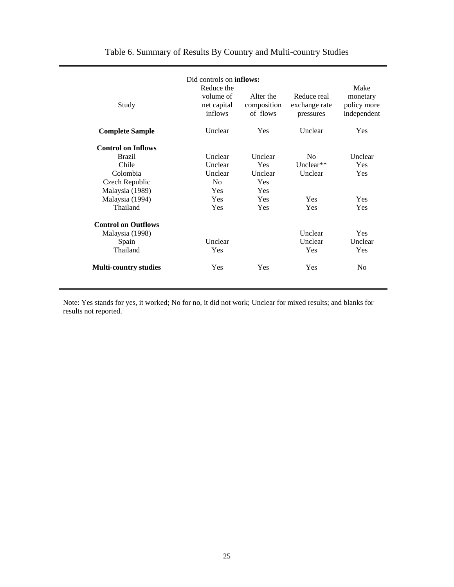|                              | Did controls on <b>inflows:</b>                   |                                      |                                           |                                                |
|------------------------------|---------------------------------------------------|--------------------------------------|-------------------------------------------|------------------------------------------------|
| Study                        | Reduce the<br>volume of<br>net capital<br>inflows | Alter the<br>composition<br>of flows | Reduce real<br>exchange rate<br>pressures | Make<br>monetary<br>policy more<br>independent |
| <b>Complete Sample</b>       | Unclear                                           | Yes                                  | Unclear                                   | <b>Yes</b>                                     |
| <b>Control on Inflows</b>    |                                                   |                                      |                                           |                                                |
| <b>Brazil</b>                | Unclear                                           | Unclear                              | No                                        | Unclear                                        |
| Chile                        | Unclear                                           | Yes                                  | Unclear**                                 | Yes                                            |
| Colombia                     | Unclear                                           | Unclear                              | Unclear                                   | <b>Yes</b>                                     |
| Czech Republic               | N <sub>0</sub>                                    | Yes                                  |                                           |                                                |
| Malaysia (1989)              | <b>Yes</b>                                        | Yes                                  |                                           |                                                |
| Malaysia (1994)              | <b>Yes</b>                                        | <b>Yes</b>                           | Yes                                       | <b>Yes</b>                                     |
| Thailand                     | <b>Yes</b>                                        | Yes                                  | Yes                                       | <b>Yes</b>                                     |
| <b>Control on Outflows</b>   |                                                   |                                      |                                           |                                                |
| Malaysia (1998)              |                                                   |                                      | Unclear                                   | Yes                                            |
| Spain                        | Unclear                                           |                                      | Unclear                                   | Unclear                                        |
| Thailand                     | Yes                                               |                                      | Yes                                       | <b>Yes</b>                                     |
| <b>Multi-country studies</b> | <b>Yes</b>                                        | Yes                                  | Yes                                       | N <sub>0</sub>                                 |

# Table 6. Summary of Results By Country and Multi-country Studies

Note: Yes stands for yes, it worked; No for no, it did not work; Unclear for mixed results; and blanks for results not reported.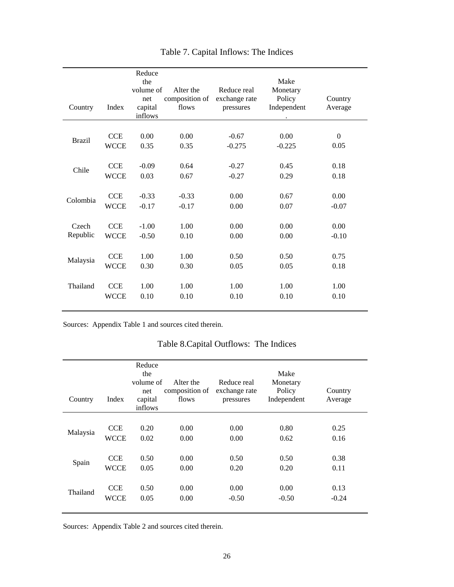| Country       | Index       | Reduce<br>the<br>volume of<br>net<br>capital<br>inflows | Alter the<br>composition of<br>flows | Reduce real<br>exchange rate<br>pressures | Make<br>Monetary<br>Policy<br>Independent | Country<br>Average |
|---------------|-------------|---------------------------------------------------------|--------------------------------------|-------------------------------------------|-------------------------------------------|--------------------|
| <b>Brazil</b> | <b>CCE</b>  | 0.00                                                    | 0.00                                 | $-0.67$                                   | 0.00                                      | $\boldsymbol{0}$   |
|               | <b>WCCE</b> | 0.35                                                    | 0.35                                 | $-0.275$                                  | $-0.225$                                  | 0.05               |
| Chile         | <b>CCE</b>  | $-0.09$                                                 | 0.64                                 | $-0.27$                                   | 0.45                                      | 0.18               |
|               | <b>WCCE</b> | 0.03                                                    | 0.67                                 | $-0.27$                                   | 0.29                                      | 0.18               |
| Colombia      | <b>CCE</b>  | $-0.33$                                                 | $-0.33$                              | 0.00                                      | 0.67                                      | 0.00               |
|               | <b>WCCE</b> | $-0.17$                                                 | $-0.17$                              | 0.00                                      | 0.07                                      | $-0.07$            |
| Czech         | <b>CCE</b>  | $-1.00$                                                 | 1.00                                 | 0.00                                      | 0.00                                      | 0.00               |
| Republic      | <b>WCCE</b> | $-0.50$                                                 | 0.10                                 | 0.00                                      | 0.00                                      | $-0.10$            |
| Malaysia      | <b>CCE</b>  | 1.00                                                    | 1.00                                 | 0.50                                      | 0.50                                      | 0.75               |
|               | <b>WCCE</b> | 0.30                                                    | 0.30                                 | 0.05                                      | 0.05                                      | 0.18               |
| Thailand      | <b>CCE</b>  | 1.00                                                    | 1.00                                 | 1.00                                      | 1.00                                      | 1.00               |
|               | <b>WCCE</b> | 0.10                                                    | 0.10                                 | 0.10                                      | 0.10                                      | 0.10               |

# Table 7. Capital Inflows: The Indices

Sources: Appendix Table 1 and sources cited therein.

# Table 8.Capital Outflows: The Indices

| Country  | Index       | Reduce<br>the<br>volume of<br>net<br>capital<br>inflows | Alter the<br>composition of<br>flows | Reduce real<br>exchange rate<br>pressures | Make<br>Monetary<br>Policy<br>Independent | Country<br>Average |
|----------|-------------|---------------------------------------------------------|--------------------------------------|-------------------------------------------|-------------------------------------------|--------------------|
| Malaysia | <b>CCE</b>  | 0.20                                                    | 0.00                                 | 0.00                                      | 0.80                                      | 0.25               |
|          | <b>WCCE</b> | 0.02                                                    | 0.00                                 | 0.00                                      | 0.62                                      | 0.16               |
| Spain    | <b>CCE</b>  | 0.50                                                    | 0.00                                 | 0.50                                      | 0.50                                      | 0.38               |
|          | <b>WCCE</b> | 0.05                                                    | 0.00                                 | 0.20                                      | 0.20                                      | 0.11               |
| Thailand | <b>CCE</b>  | 0.50                                                    | 0.00                                 | 0.00                                      | 0.00                                      | 0.13               |
|          | <b>WCCE</b> | 0.05                                                    | 0.00                                 | $-0.50$                                   | $-0.50$                                   | $-0.24$            |

Sources: Appendix Table 2 and sources cited therein.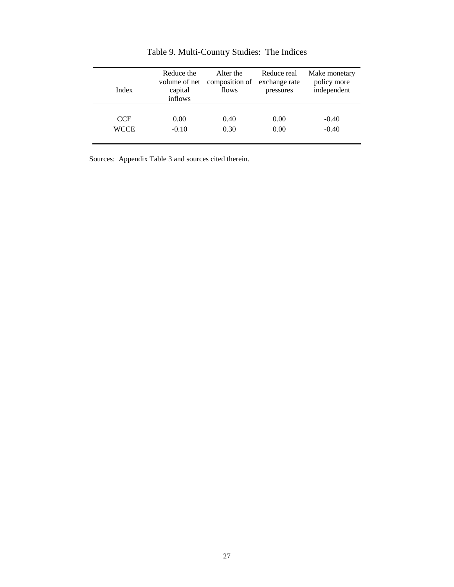| Index       | Reduce the | Alter the                    | Reduce real   | Make monetary |
|-------------|------------|------------------------------|---------------|---------------|
|             | capital    | volume of net composition of | exchange rate | policy more   |
|             | inflows    | flows                        | pressures     | independent   |
| <b>CCE</b>  | 0.00       | 0.40                         | 0.00          | $-0.40$       |
| <b>WCCE</b> | $-0.10$    | 0.30                         | 0.00          | $-0.40$       |

# Table 9. Multi-Country Studies: The Indices

Sources: Appendix Table 3 and sources cited therein.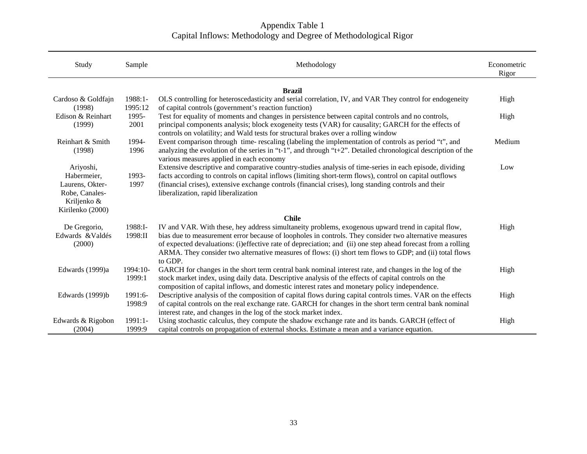# Appendix Table 1 Capital Inflows: Methodology and Degree of Methodological Rigor

| Study                                                                                            | Sample             | Methodology                                                                                                                                                                                                                                                                                                                                                                                                                                        | Econometric<br>Rigor |
|--------------------------------------------------------------------------------------------------|--------------------|----------------------------------------------------------------------------------------------------------------------------------------------------------------------------------------------------------------------------------------------------------------------------------------------------------------------------------------------------------------------------------------------------------------------------------------------------|----------------------|
|                                                                                                  |                    | <b>Brazil</b>                                                                                                                                                                                                                                                                                                                                                                                                                                      |                      |
| Cardoso & Goldfajn<br>(1998)                                                                     | 1988:1-<br>1995:12 | OLS controlling for heteroscedasticity and serial correlation, IV, and VAR They control for endogeneity<br>of capital controls (government's reaction function)                                                                                                                                                                                                                                                                                    | High                 |
| Edison & Reinhart<br>(1999)                                                                      | 1995-<br>2001      | Test for equality of moments and changes in persistence between capital controls and no controls,<br>principal components analysis; block exogeneity tests (VAR) for causality; GARCH for the effects of<br>controls on volatility; and Wald tests for structural brakes over a rolling window                                                                                                                                                     | High                 |
| Reinhart & Smith<br>(1998)                                                                       | 1994-<br>1996      | Event comparison through time-rescaling (labeling the implementation of controls as period "t", and<br>analyzing the evolution of the series in "t-1", and through "t+2". Detailed chronological description of the<br>various measures applied in each economy                                                                                                                                                                                    | Medium               |
| Ariyoshi,<br>Habermeier,<br>Laurens, Okter-<br>Robe, Canales-<br>Kriljenko &<br>Kirilenko (2000) | 1993-<br>1997      | Extensive descriptive and comparative country-studies analysis of time-series in each episode, dividing<br>facts according to controls on capital inflows (limiting short-term flows), control on capital outflows<br>(financial crises), extensive exchange controls (financial crises), long standing controls and their<br>liberalization, rapid liberalization                                                                                 | Low                  |
|                                                                                                  |                    | <b>Chile</b>                                                                                                                                                                                                                                                                                                                                                                                                                                       |                      |
| De Gregorio,<br>Edwards & Valdés<br>(2000)                                                       | 1988:I-<br>1998:II | IV and VAR. With these, hey address simultaneity problems, exogenous upward trend in capital flow,<br>bias due to measurement error because of loopholes in controls. They consider two alternative measures<br>of expected devaluations: (i)effective rate of depreciation; and (ii) one step ahead forecast from a rolling<br>ARMA. They consider two alternative measures of flows: (i) short tem flows to GDP; and (ii) total flows<br>to GDP. | High                 |
| Edwards (1999)a                                                                                  | 1994:10-<br>1999:1 | GARCH for changes in the short term central bank nominal interest rate, and changes in the log of the<br>stock market index, using daily data. Descriptive analysis of the effects of capital controls on the<br>composition of capital inflows, and domestic interest rates and monetary policy independence.                                                                                                                                     | High                 |
| Edwards (1999)b                                                                                  | 1991:6-<br>1998:9  | Descriptive analysis of the composition of capital flows during capital controls times. VAR on the effects<br>of capital controls on the real exchange rate. GARCH for changes in the short term central bank nominal<br>interest rate, and changes in the log of the stock market index.                                                                                                                                                          | High                 |
| Edwards & Rigobon<br>(2004)                                                                      | 1991:1-<br>1999:9  | Using stochastic calculus, they compute the shadow exchange rate and its bands. GARCH (effect of<br>capital controls on propagation of external shocks. Estimate a mean and a variance equation.                                                                                                                                                                                                                                                   | High                 |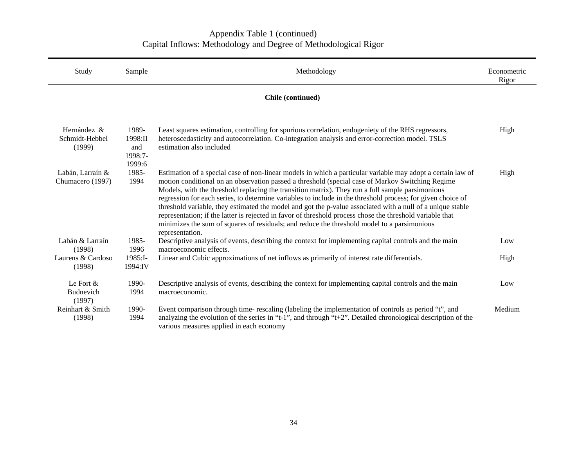### Appendix Table 1 (continued) Capital Inflows: Methodology and Degree of Methodological Rigor

| Study                                   | Sample                                       | Methodology                                                                                                                                                                                                                                                                                                                                                                                                                                                                                                                                                                                                                                                                                                                                                                     | Econometric<br>Rigor |
|-----------------------------------------|----------------------------------------------|---------------------------------------------------------------------------------------------------------------------------------------------------------------------------------------------------------------------------------------------------------------------------------------------------------------------------------------------------------------------------------------------------------------------------------------------------------------------------------------------------------------------------------------------------------------------------------------------------------------------------------------------------------------------------------------------------------------------------------------------------------------------------------|----------------------|
|                                         |                                              | Chile (continued)                                                                                                                                                                                                                                                                                                                                                                                                                                                                                                                                                                                                                                                                                                                                                               |                      |
| Hernández &<br>Schmidt-Hebbel<br>(1999) | 1989-<br>1998:II<br>and<br>1998:7-<br>1999:6 | Least squares estimation, controlling for spurious correlation, endogeniety of the RHS regressors,<br>heteroscedasticity and autocorrelation. Co-integration analysis and error-correction model. TSLS<br>estimation also included                                                                                                                                                                                                                                                                                                                                                                                                                                                                                                                                              | High                 |
| Labán, Larraín &<br>Chumacero (1997)    | 1985-<br>1994                                | Estimation of a special case of non-linear models in which a particular variable may adopt a certain law of<br>motion conditional on an observation passed a threshold (special case of Markov Switching Regime<br>Models, with the threshold replacing the transition matrix). They run a full sample parsimonious<br>regression for each series, to determine variables to include in the threshold process; for given choice of<br>threshold variable, they estimated the model and got the p-value associated with a null of a unique stable<br>representation; if the latter is rejected in favor of threshold process chose the threshold variable that<br>minimizes the sum of squares of residuals; and reduce the threshold model to a parsimonious<br>representation. | High                 |
| Labán & Larraín<br>(1998)               | 1985-<br>1996                                | Descriptive analysis of events, describing the context for implementing capital controls and the main<br>macroeconomic effects.                                                                                                                                                                                                                                                                                                                                                                                                                                                                                                                                                                                                                                                 | Low                  |
| Laurens & Cardoso<br>(1998)             | 1985:I-<br>1994:IV                           | Linear and Cubic approximations of net inflows as primarily of interest rate differentials.                                                                                                                                                                                                                                                                                                                                                                                                                                                                                                                                                                                                                                                                                     | High                 |
| Le Fort $&$<br>Budnevich<br>(1997)      | 1990-<br>1994                                | Descriptive analysis of events, describing the context for implementing capital controls and the main<br>macroeconomic.                                                                                                                                                                                                                                                                                                                                                                                                                                                                                                                                                                                                                                                         | Low                  |
| Reinhart & Smith<br>(1998)              | 1990-<br>1994                                | Event comparison through time- rescaling (labeling the implementation of controls as period "t", and<br>analyzing the evolution of the series in "t-1", and through "t+2". Detailed chronological description of the<br>various measures applied in each economy                                                                                                                                                                                                                                                                                                                                                                                                                                                                                                                | Medium               |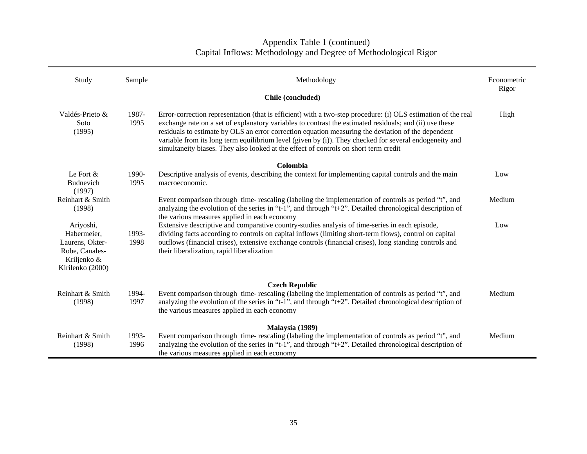| Study                                                                                            | Sample            | Methodology                                                                                                                                                                                                                                                                                                                                                                                                                                                                                                                      | Econometric<br>Rigor |  |  |  |  |
|--------------------------------------------------------------------------------------------------|-------------------|----------------------------------------------------------------------------------------------------------------------------------------------------------------------------------------------------------------------------------------------------------------------------------------------------------------------------------------------------------------------------------------------------------------------------------------------------------------------------------------------------------------------------------|----------------------|--|--|--|--|
|                                                                                                  | Chile (concluded) |                                                                                                                                                                                                                                                                                                                                                                                                                                                                                                                                  |                      |  |  |  |  |
| Valdés-Prieto &<br>Soto<br>(1995)                                                                | 1987-<br>1995     | Error-correction representation (that is efficient) with a two-step procedure: (i) OLS estimation of the real<br>exchange rate on a set of explanatory variables to contrast the estimated residuals; and (ii) use these<br>residuals to estimate by OLS an error correction equation measuring the deviation of the dependent<br>variable from its long term equilibrium level (given by (i)). They checked for several endogeneity and<br>simultaneity biases. They also looked at the effect of controls on short term credit | High                 |  |  |  |  |
|                                                                                                  |                   | Colombia                                                                                                                                                                                                                                                                                                                                                                                                                                                                                                                         |                      |  |  |  |  |
| Le Fort $\&$<br>Budnevich<br>(1997)                                                              | 1990-<br>1995     | Descriptive analysis of events, describing the context for implementing capital controls and the main<br>macroeconomic.                                                                                                                                                                                                                                                                                                                                                                                                          | Low                  |  |  |  |  |
| Reinhart & Smith<br>(1998)                                                                       |                   | Event comparison through time-rescaling (labeling the implementation of controls as period "t", and<br>analyzing the evolution of the series in "t-1", and through "t+2". Detailed chronological description of<br>the various measures applied in each economy                                                                                                                                                                                                                                                                  | Medium               |  |  |  |  |
| Ariyoshi,<br>Habermeier,<br>Laurens, Okter-<br>Robe, Canales-<br>Kriljenko &<br>Kirilenko (2000) | 1993-<br>1998     | Extensive descriptive and comparative country-studies analysis of time-series in each episode,<br>dividing facts according to controls on capital inflows (limiting short-term flows), control on capital<br>outflows (financial crises), extensive exchange controls (financial crises), long standing controls and<br>their liberalization, rapid liberalization                                                                                                                                                               | Low                  |  |  |  |  |
|                                                                                                  |                   | <b>Czech Republic</b>                                                                                                                                                                                                                                                                                                                                                                                                                                                                                                            |                      |  |  |  |  |
| Reinhart & Smith<br>(1998)                                                                       | 1994-<br>1997     | Event comparison through time- rescaling (labeling the implementation of controls as period "t", and<br>analyzing the evolution of the series in "t-1", and through "t+2". Detailed chronological description of<br>the various measures applied in each economy                                                                                                                                                                                                                                                                 | Medium               |  |  |  |  |
|                                                                                                  |                   | Malaysia (1989)                                                                                                                                                                                                                                                                                                                                                                                                                                                                                                                  |                      |  |  |  |  |
| Reinhart & Smith<br>(1998)                                                                       | 1993-<br>1996     | Event comparison through time- rescaling (labeling the implementation of controls as period "t", and<br>analyzing the evolution of the series in "t-1", and through "t+2". Detailed chronological description of<br>the various measures applied in each economy                                                                                                                                                                                                                                                                 | Medium               |  |  |  |  |

### Appendix Table 1 (continued) Capital Inflows: Methodology and Degree of Methodological Rigor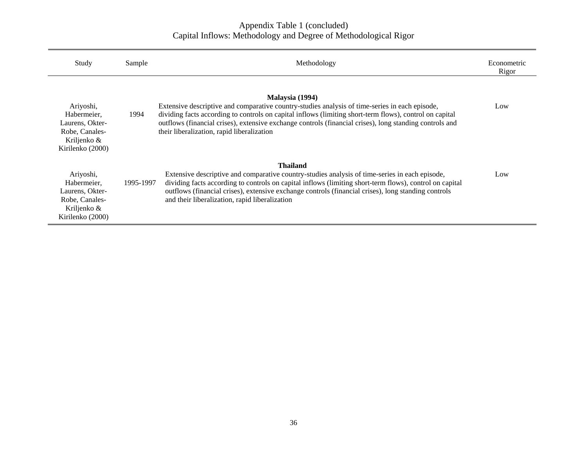### Appendix Table 1 (concluded) Capital Inflows: Methodology and Degree of Methodological Rigor

| Study                                                                                            | Sample    | Methodology                                                                                                                                                                                                                                                                                                                                                                           | Econometric<br>Rigor |
|--------------------------------------------------------------------------------------------------|-----------|---------------------------------------------------------------------------------------------------------------------------------------------------------------------------------------------------------------------------------------------------------------------------------------------------------------------------------------------------------------------------------------|----------------------|
| Ariyoshi,<br>Habermeier,<br>Laurens, Okter-<br>Robe, Canales-<br>Kriljenko &<br>Kirilenko (2000) | 1994      | Malaysia (1994)<br>Extensive descriptive and comparative country-studies analysis of time-series in each episode,<br>dividing facts according to controls on capital inflows (limiting short-term flows), control on capital<br>outflows (financial crises), extensive exchange controls (financial crises), long standing controls and<br>their liberalization, rapid liberalization | Low                  |
| Ariyoshi,<br>Habermeier.<br>Laurens, Okter-<br>Robe, Canales-<br>Kriljenko &<br>Kirilenko (2000) | 1995-1997 | <b>Thailand</b><br>Extensive descriptive and comparative country-studies analysis of time-series in each episode,<br>dividing facts according to controls on capital inflows (limiting short-term flows), control on capital<br>outflows (financial crises), extensive exchange controls (financial crises), long standing controls<br>and their liberalization, rapid liberalization | Low                  |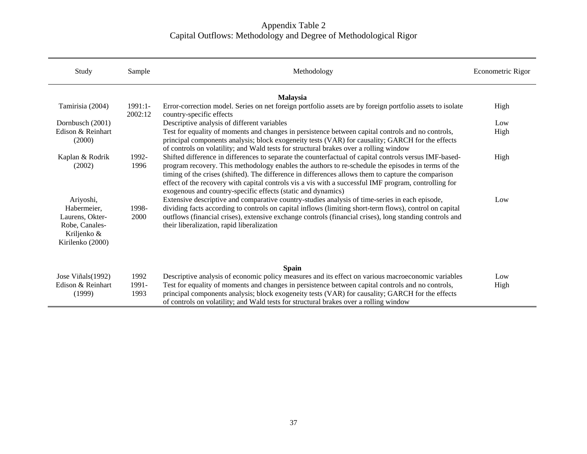# Appendix Table 2 Capital Outflows: Methodology and Degree of Methodological Rigor

| Study                                                                                            | Sample               | Methodology                                                                                                                                                                                                                                                                                                                                                                                                                                                                                  | Econometric Rigor |  |  |
|--------------------------------------------------------------------------------------------------|----------------------|----------------------------------------------------------------------------------------------------------------------------------------------------------------------------------------------------------------------------------------------------------------------------------------------------------------------------------------------------------------------------------------------------------------------------------------------------------------------------------------------|-------------------|--|--|
|                                                                                                  |                      | <b>Malaysia</b>                                                                                                                                                                                                                                                                                                                                                                                                                                                                              |                   |  |  |
| Tamirisia (2004)                                                                                 | $1991:1-$<br>2002:12 | Error-correction model. Series on net foreign portfolio assets are by foreign portfolio assets to isolate<br>country-specific effects                                                                                                                                                                                                                                                                                                                                                        | High              |  |  |
| Dornbusch (2001)                                                                                 |                      | Descriptive analysis of different variables                                                                                                                                                                                                                                                                                                                                                                                                                                                  | Low               |  |  |
| Edison & Reinhart<br>(2000)                                                                      |                      | Test for equality of moments and changes in persistence between capital controls and no controls,<br>principal components analysis; block exogeneity tests (VAR) for causality; GARCH for the effects<br>of controls on volatility; and Wald tests for structural brakes over a rolling window                                                                                                                                                                                               | High              |  |  |
| Kaplan & Rodrik<br>(2002)                                                                        | 1992-<br>1996        | Shifted difference in differences to separate the counterfactual of capital controls versus IMF-based-<br>program recovery. This methodology enables the authors to re-schedule the episodes in terms of the<br>timing of the crises (shifted). The difference in differences allows them to capture the comparison<br>effect of the recovery with capital controls vis a vis with a successful IMF program, controlling for<br>exogenous and country-specific effects (static and dynamics) | High              |  |  |
| Ariyoshi,<br>Habermeier,<br>Laurens, Okter-<br>Robe, Canales-<br>Kriljenko &<br>Kirilenko (2000) | 1998-<br>2000        | Extensive descriptive and comparative country-studies analysis of time-series in each episode,<br>dividing facts according to controls on capital inflows (limiting short-term flows), control on capital<br>outflows (financial crises), extensive exchange controls (financial crises), long standing controls and<br>their liberalization, rapid liberalization                                                                                                                           | Low               |  |  |
| <b>Spain</b>                                                                                     |                      |                                                                                                                                                                                                                                                                                                                                                                                                                                                                                              |                   |  |  |
| Jose Viñals(1992)                                                                                | 1992                 | Descriptive analysis of economic policy measures and its effect on various macroeconomic variables                                                                                                                                                                                                                                                                                                                                                                                           | Low               |  |  |
| Edison & Reinhart<br>(1999)                                                                      | 1991-<br>1993        | Test for equality of moments and changes in persistence between capital controls and no controls,<br>principal components analysis; block exogeneity tests (VAR) for causality; GARCH for the effects<br>of controls on volatility; and Wald tests for structural brakes over a rolling window                                                                                                                                                                                               | High              |  |  |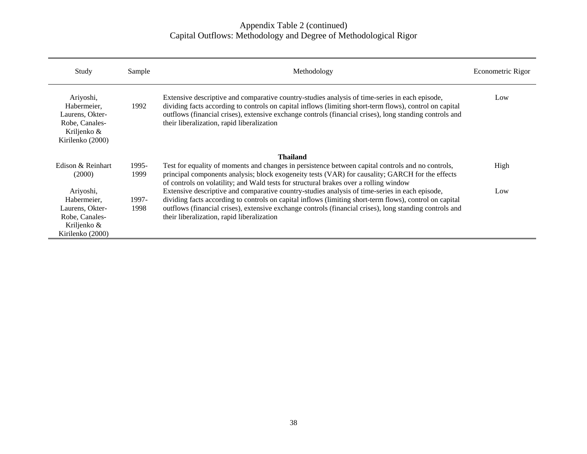# Appendix Table 2 (continued) Capital Outflows: Methodology and Degree of Methodological Rigor

| Study                                                                                               | Sample        | Methodology                                                                                                                                                                                                                                                                                                                                                        | Econometric Rigor |  |  |
|-----------------------------------------------------------------------------------------------------|---------------|--------------------------------------------------------------------------------------------------------------------------------------------------------------------------------------------------------------------------------------------------------------------------------------------------------------------------------------------------------------------|-------------------|--|--|
| Ariyoshi,<br>Habermeier,<br>Laurens, Okter-<br>Robe, Canales-<br>Kriljenko &<br>Kirilenko (2000)    | 1992          | Extensive descriptive and comparative country-studies analysis of time-series in each episode,<br>dividing facts according to controls on capital inflows (limiting short-term flows), control on capital<br>outflows (financial crises), extensive exchange controls (financial crises), long standing controls and<br>their liberalization, rapid liberalization | Low               |  |  |
| <b>Thailand</b>                                                                                     |               |                                                                                                                                                                                                                                                                                                                                                                    |                   |  |  |
| Edison & Reinhart<br>(2000)                                                                         | 1995-<br>1999 | Test for equality of moments and changes in persistence between capital controls and no controls,<br>principal components analysis; block exogeneity tests (VAR) for causality; GARCH for the effects<br>of controls on volatility; and Wald tests for structural brakes over a rolling window                                                                     | High              |  |  |
| Ariyoshi,<br>Habermeier,<br>Laurens, Okter-<br>Robe, Canales-<br>Kriljenko $\&$<br>Kirilenko (2000) | 1997-<br>1998 | Extensive descriptive and comparative country-studies analysis of time-series in each episode,<br>dividing facts according to controls on capital inflows (limiting short-term flows), control on capital<br>outflows (financial crises), extensive exchange controls (financial crises), long standing controls and<br>their liberalization, rapid liberalization | Low               |  |  |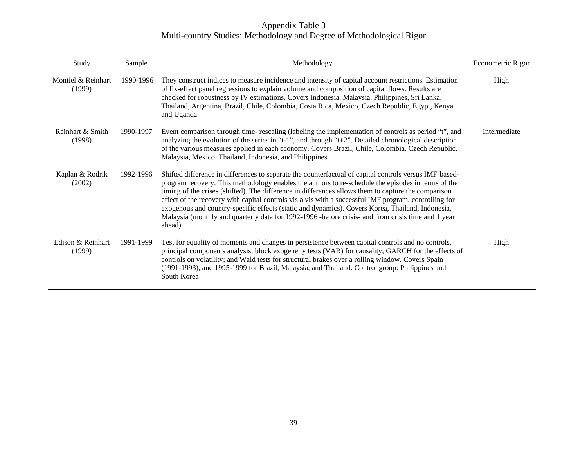# Appendix Table 3 Multi-country Studies: Methodology and Degree of Methodological Rigor

| Study                        | Sample    | Methodology                                                                                                                                                                                                                                                                                                                                                                                                                                                                                                                                                                                                                                      | Econometric Rigor |
|------------------------------|-----------|--------------------------------------------------------------------------------------------------------------------------------------------------------------------------------------------------------------------------------------------------------------------------------------------------------------------------------------------------------------------------------------------------------------------------------------------------------------------------------------------------------------------------------------------------------------------------------------------------------------------------------------------------|-------------------|
| Montiel & Reinhart<br>(1999) | 1990-1996 | They construct indices to measure incidence and intensity of capital account restrictions. Estimation<br>of fix-effect panel regressions to explain volume and composition of capital flows. Results are<br>checked for robustness by IV estimations. Covers Indonesia, Malaysia, Philippines, Sri Lanka,<br>Thailand, Argentina, Brazil, Chile, Colombia, Costa Rica, Mexico, Czech Republic, Egypt, Kenya<br>and Uganda                                                                                                                                                                                                                        | High              |
| Reinhart & Smith<br>(1998)   | 1990-1997 | Event comparison through time-rescaling (labeling the implementation of controls as period "t", and<br>analyzing the evolution of the series in "t-1", and through "t+2". Detailed chronological description<br>of the various measures applied in each economy. Covers Brazil, Chile, Colombia, Czech Republic,<br>Malaysia, Mexico, Thailand, Indonesia, and Philippines.                                                                                                                                                                                                                                                                      | Intermediate      |
| Kaplan & Rodrik<br>(2002)    | 1992-1996 | Shifted difference in differences to separate the counterfactual of capital controls versus IMF-based-<br>program recovery. This methodology enables the authors to re-schedule the episodes in terms of the<br>timing of the crises (shifted). The difference in differences allows them to capture the comparison<br>effect of the recovery with capital controls vis a vis with a successful IMF program, controlling for<br>exogenous and country-specific effects (static and dynamics). Covers Korea, Thailand, Indonesia,<br>Malaysia (monthly and quarterly data for 1992-1996 -before crisis- and from crisis time and 1 year<br>ahead) |                   |
| Edison & Reinhart<br>(1999)  | 1991-1999 | Test for equality of moments and changes in persistence between capital controls and no controls,<br>principal components analysis; block exogeneity tests (VAR) for causality; GARCH for the effects of<br>controls on volatility; and Wald tests for structural brakes over a rolling window. Covers Spain<br>(1991-1993), and 1995-1999 for Brazil, Malaysia, and Thailand. Control group: Philippines and<br>South Korea                                                                                                                                                                                                                     | High              |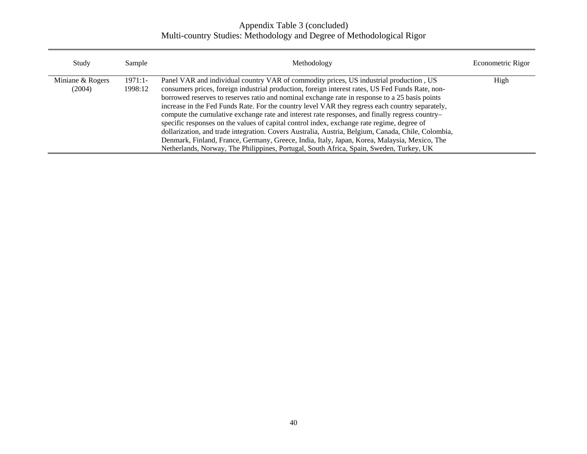# Appendix Table 3 (concluded) Multi-country Studies: Methodology and Degree of Methodological Rigor

| Study                      | Sample               | Methodology                                                                                                                                                                                                                                                                                                                                                                                                                                                                                                                                                                                                                                                                                                                                                                                                                                                                                      | Econometric Rigor |
|----------------------------|----------------------|--------------------------------------------------------------------------------------------------------------------------------------------------------------------------------------------------------------------------------------------------------------------------------------------------------------------------------------------------------------------------------------------------------------------------------------------------------------------------------------------------------------------------------------------------------------------------------------------------------------------------------------------------------------------------------------------------------------------------------------------------------------------------------------------------------------------------------------------------------------------------------------------------|-------------------|
| Miniane & Rogers<br>(2004) | $1971:1-$<br>1998:12 | Panel VAR and individual country VAR of commodity prices, US industrial production, US<br>consumers prices, foreign industrial production, foreign interest rates, US Fed Funds Rate, non-<br>borrowed reserves to reserves ratio and nominal exchange rate in response to a 25 basis points<br>increase in the Fed Funds Rate. For the country level VAR they regress each country separately,<br>compute the cumulative exchange rate and interest rate responses, and finally regress country-<br>specific responses on the values of capital control index, exchange rate regime, degree of<br>dollarization, and trade integration. Covers Australia, Austria, Belgium, Canada, Chile, Colombia,<br>Denmark, Finland, France, Germany, Greece, India, Italy, Japan, Korea, Malaysia, Mexico, The<br>Netherlands, Norway, The Philippines, Portugal, South Africa, Spain, Sweden, Turkey, UK | High              |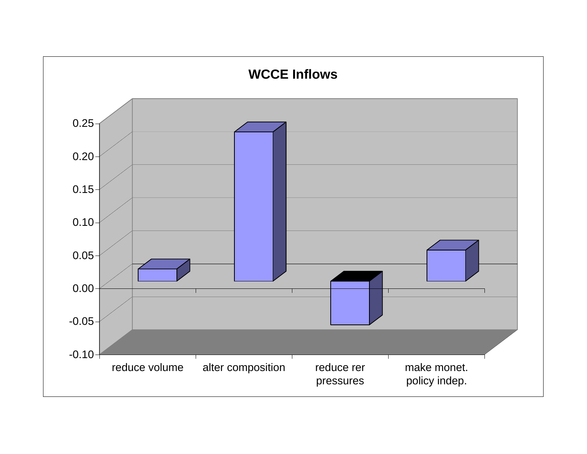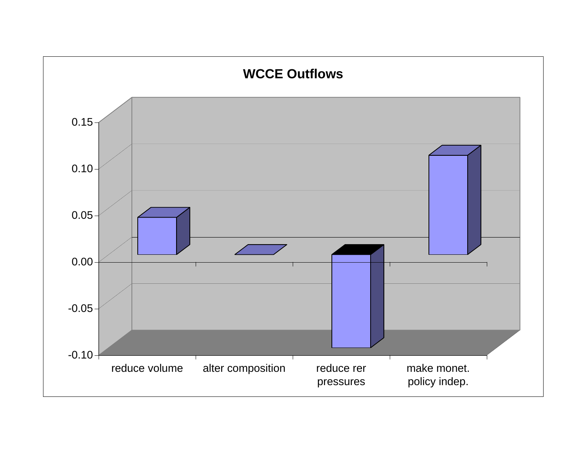